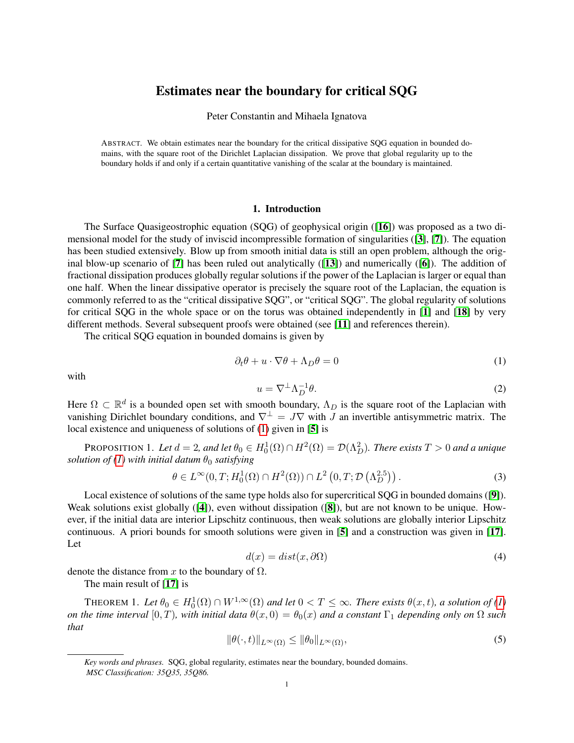# Estimates near the boundary for critical SQG

Peter Constantin and Mihaela Ignatova

ABSTRACT. We obtain estimates near the boundary for the critical dissipative SQG equation in bounded domains, with the square root of the Dirichlet Laplacian dissipation. We prove that global regularity up to the boundary holds if and only if a certain quantitative vanishing of the scalar at the boundary is maintained.

## 1. Introduction

The Surface Quasigeostrophic equation (SQG) of geophysical origin ([[16](#page-20-0)]) was proposed as a two dimensional model for the study of inviscid incompressible formation of singularities ([[3](#page-19-0)], [[7](#page-19-1)]). The equation has been studied extensively. Blow up from smooth initial data is still an open problem, although the original blow-up scenario of  $[7]$  $[7]$  $[7]$  has been ruled out analytically  $([13])$  $([13])$  $([13])$  and numerically  $([6])$  $([6])$  $([6])$ . The addition of fractional dissipation produces globally regular solutions if the power of the Laplacian is larger or equal than one half. When the linear dissipative operator is precisely the square root of the Laplacian, the equation is commonly referred to as the "critical dissipative SQG", or "critical SQG". The global regularity of solutions for critical SQG in the whole space or on the torus was obtained independently in [[1](#page-19-3)] and [[18](#page-20-2)] by very different methods. Several subsequent proofs were obtained (see [[11](#page-19-4)] and references therein).

The critical SQG equation in bounded domains is given by

<span id="page-0-0"></span>
$$
\partial_t \theta + u \cdot \nabla \theta + \Lambda_D \theta = 0 \tag{1}
$$

with

<span id="page-0-2"></span>
$$
u = \nabla^{\perp} \Lambda_D^{-1} \theta. \tag{2}
$$

Here  $\Omega \subset \mathbb{R}^d$  is a bounded open set with smooth boundary,  $\Lambda_D$  is the square root of the Laplacian with vanishing Dirichlet boundary conditions, and  $\nabla^{\perp} = J\nabla$  with J an invertible antisymmetric matrix. The local existence and uniqueness of solutions of [\(1\)](#page-0-0) given in [[5](#page-19-5)] is

<span id="page-0-1"></span>PROPOSITION 1. Let  $d = 2$ , and let  $\theta_0 \in H_0^1(\Omega) \cap H^2(\Omega) = \mathcal{D}(\Lambda_D^2)$ . There exists  $T > 0$  and a unique *solution of [\(1\)](#page-0-0)* with initial datum  $\theta_0$  *satisfying* 

$$
\theta \in L^{\infty}(0, T; H_0^1(\Omega) \cap H^2(\Omega)) \cap L^2\left(0, T; \mathcal{D}\left(\Lambda_D^{2.5}\right)\right). \tag{3}
$$

Local existence of solutions of the same type holds also for supercritical SQG in bounded domains ([[9](#page-19-6)]). Weak solutions exist globally ([[4](#page-19-7)]), even without dissipation ([[8](#page-19-8)]), but are not known to be unique. However, if the initial data are interior Lipschitz continuous, then weak solutions are globally interior Lipschitz continuous. A priori bounds for smooth solutions were given in [[5](#page-19-5)] and a construction was given in [[17](#page-20-3)]. Let

$$
d(x) = dist(x, \partial \Omega) \tag{4}
$$

denote the distance from x to the boundary of  $\Omega$ .

The main result of [[17](#page-20-3)] is

<span id="page-0-3"></span>THEOREM 1. Let  $\theta_0 \in H_0^1(\Omega) \cap W^{1,\infty}(\Omega)$  and let  $0 < T \leq \infty$ . There exists  $\theta(x,t)$ , a solution of [\(1\)](#page-0-0) *on the time interval* [0, T], with initial data  $\theta(x, 0) = \theta_0(x)$  and a constant  $\Gamma_1$  *depending only on*  $\Omega$  *such that*

$$
\|\theta(\cdot,t)\|_{L^{\infty}(\Omega)} \le \|\theta_0\|_{L^{\infty}(\Omega)},\tag{5}
$$

*Key words and phrases.* SQG, global regularity, estimates near the boundary, bounded domains. *MSC Classification: 35Q35, 35Q86.*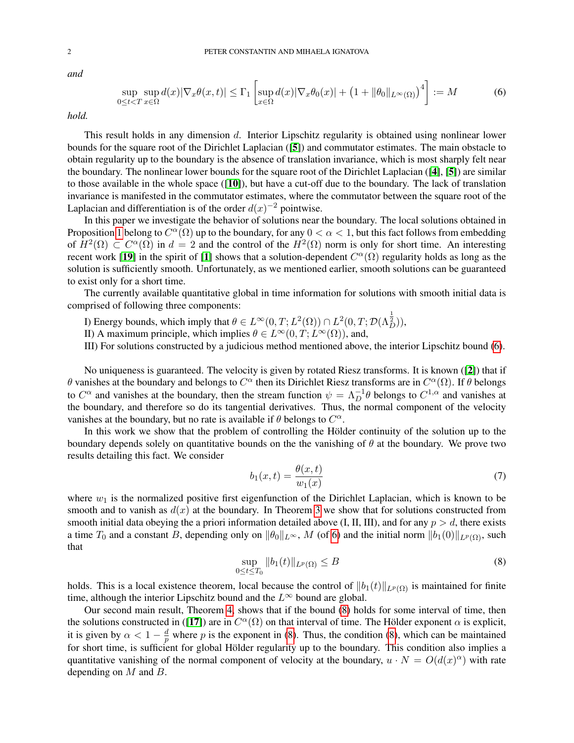*and*

<span id="page-1-0"></span>
$$
\sup_{0 \le t < T} \sup_{x \in \Omega} d(x) |\nabla_x \theta(x, t)| \le \Gamma_1 \left[ \sup_{x \in \Omega} d(x) |\nabla_x \theta_0(x)| + \left( 1 + \|\theta_0\|_{L^\infty(\Omega)} \right)^4 \right] := M \tag{6}
$$

*hold.*

This result holds in any dimension d. Interior Lipschitz regularity is obtained using nonlinear lower bounds for the square root of the Dirichlet Laplacian ([[5](#page-19-5)]) and commutator estimates. The main obstacle to obtain regularity up to the boundary is the absence of translation invariance, which is most sharply felt near the boundary. The nonlinear lower bounds for the square root of the Dirichlet Laplacian ([[4](#page-19-7)], [[5](#page-19-5)]) are similar to those available in the whole space ([[10](#page-19-9)]), but have a cut-off due to the boundary. The lack of translation invariance is manifested in the commutator estimates, where the commutator between the square root of the Laplacian and differentiation is of the order  $d(x)^{-2}$  pointwise.

In this paper we investigate the behavior of solutions near the boundary. The local solutions obtained in Proposition [1](#page-0-1) belong to  $C^{\alpha}(\Omega)$  up to the boundary, for any  $0 < \alpha < 1$ , but this fact follows from embedding of  $H^2(\Omega) \subset C^{\alpha}(\Omega)$  in  $d = 2$  and the control of the  $H^2(\Omega)$  norm is only for short time. An interesting recent work [[19](#page-20-4)] in the spirit of [[1](#page-19-3)] shows that a solution-dependent  $C^{\alpha}(\Omega)$  regularity holds as long as the solution is sufficiently smooth. Unfortunately, as we mentioned earlier, smooth solutions can be guaranteed to exist only for a short time.

The currently available quantitative global in time information for solutions with smooth initial data is comprised of following three components:

- I) Energy bounds, which imply that  $\theta \in L^{\infty}(0,T; L^{2}(\Omega)) \cap L^{2}(0,T; \mathcal{D}(\Lambda_{D}^{\frac{1}{2}})),$
- II) A maximum principle, which implies  $\theta \in L^{\infty}(0,T; L^{\infty}(\Omega))$ , and,
- III) For solutions constructed by a judicious method mentioned above, the interior Lipschitz bound [\(6\)](#page-1-0).

No uniqueness is guaranteed. The velocity is given by rotated Riesz transforms. It is known ([[2](#page-19-10)]) that if θ vanishes at the boundary and belongs to  $C^{\alpha}$  then its Dirichlet Riesz transforms are in  $C^{\alpha}(\Omega)$ . If θ belongs to  $C^{\alpha}$  and vanishes at the boundary, then the stream function  $\psi = \Lambda_D^{-1} \theta$  belongs to  $C^{1,\alpha}$  and vanishes at the boundary, and therefore so do its tangential derivatives. Thus, the normal component of the velocity vanishes at the boundary, but no rate is available if  $\theta$  belongs to  $C^{\alpha}$ .

In this work we show that the problem of controlling the Hölder continuity of the solution up to the boundary depends solely on quantitative bounds on the the vanishing of  $\theta$  at the boundary. We prove two results detailing this fact. We consider

$$
b_1(x,t) = \frac{\theta(x,t)}{w_1(x)}\tag{7}
$$

where  $w_1$  is the normalized positive first eigenfunction of the Dirichlet Laplacian, which is known to be smooth and to vanish as  $d(x)$  at the boundary. In Theorem [3](#page-12-0) we show that for solutions constructed from smooth initial data obeying the a priori information detailed above (I, II, III), and for any  $p > d$ , there exists a time  $T_0$  and a constant B, depending only on  $\|\theta_0\|_{L^{\infty}}$ , M (of [6\)](#page-1-0) and the initial norm  $\|b_1(0)\|_{L^p(\Omega)}$ , such that

<span id="page-1-1"></span>
$$
\sup_{0 \le t \le T_0} \|b_1(t)\|_{L^p(\Omega)} \le B \tag{8}
$$

holds. This is a local existence theorem, local because the control of  $||b_1(t)||_{L^p(\Omega)}$  is maintained for finite time, although the interior Lipschitz bound and the  $L^{\infty}$  bound are global.

Our second main result, Theorem [4,](#page-17-0) shows that if the bound [\(8\)](#page-1-1) holds for some interval of time, then the solutions constructed in ([[17](#page-20-3)]) are in  $C^{\alpha}(\Omega)$  on that interval of time. The Hölder exponent  $\alpha$  is explicit, it is given by  $\alpha < 1 - \frac{d}{n}$  $\frac{d}{p}$  where p is the exponent in [\(8\)](#page-1-1). Thus, the condition (8), which can be maintained for short time, is sufficient for global Hölder regularity up to the boundary. This condition also implies a quantitative vanishing of the normal component of velocity at the boundary,  $u \cdot N = O(d(x)^\alpha)$  with rate depending on  $M$  and  $B$ .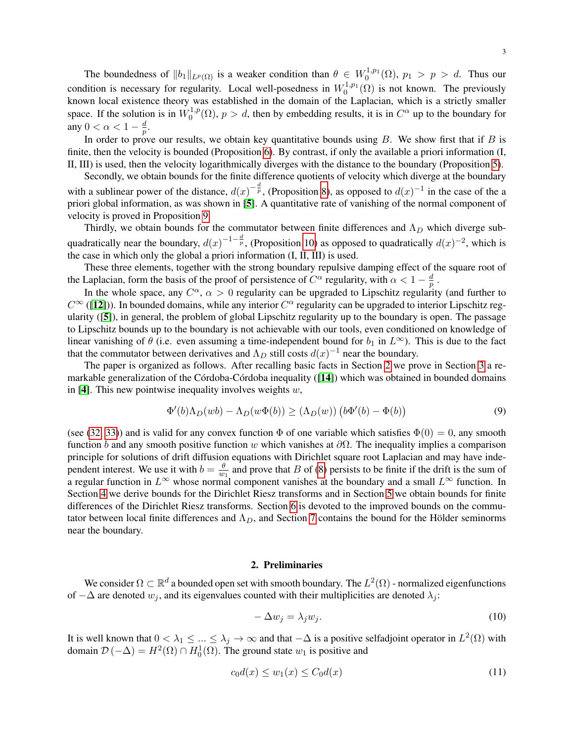The boundedness of  $||b_1||_{L^p(\Omega)}$  is a weaker condition than  $\theta \in W_0^{1,p_1}(\Omega)$ ,  $p_1 > p > d$ . Thus our condition is necessary for regularity. Local well-posedness in  $W_0^{1,p_1}(\Omega)$  is not known. The previously known local existence theory was established in the domain of the Laplacian, which is a strictly smaller space. If the solution is in  $W_0^{1,p}$  $C_0^{1,p}(\Omega)$ ,  $p > d$ , then by embedding results, it is in  $C^{\alpha}$  up to the boundary for any  $0 < \alpha < 1 - \frac{d}{n}$  $\frac{d}{p}.$ 

In order to prove our results, we obtain key quantitative bounds using  $B$ . We show first that if  $B$  is finite, then the velocity is bounded (Proposition [6\)](#page-10-0). By contrast, if only the available a priori information (I, II, III) is used, then the velocity logarithmically diverges with the distance to the boundary (Proposition [5\)](#page-8-0).

Secondly, we obtain bounds for the finite difference quotients of velocity which diverge at the boundary with a sublinear power of the distance,  $d(x)^{-\frac{d}{p}}$ , (Proposition [8\)](#page-13-0), as opposed to  $d(x)^{-1}$  in the case of the a priori global information, as was shown in [[5](#page-19-5)]. A quantitative rate of vanishing of the normal component of velocity is proved in Proposition [9.](#page-15-0)

Thirdly, we obtain bounds for the commutator between finite differences and  $\Lambda_D$  which diverge subquadratically near the boundary,  $d(x)^{-1-\frac{d}{p}}$ , (Proposition [10\)](#page-16-0) as opposed to quadratically  $d(x)^{-2}$ , which is the case in which only the global a priori information (I, II, III) is used.

These three elements, together with the strong boundary repulsive damping effect of the square root of the Laplacian, form the basis of the proof of persistence of  $C^{\alpha}$  regularity, with  $\alpha < 1 - \frac{d}{n}$  $\frac{d}{p}$  .

In the whole space, any  $C^{\alpha}$ ,  $\alpha > 0$  regularity can be upgraded to Lipschitz regularity (and further to  $C^{\infty}$  ([[12](#page-20-5)])). In bounded domains, while any interior  $C^{\alpha}$  regularity can be upgraded to interior Lipschitz regularity ([[5](#page-19-5)]), in general, the problem of global Lipschitz regularity up to the boundary is open. The passage to Lipschitz bounds up to the boundary is not achievable with our tools, even conditioned on knowledge of linear vanishing of  $\theta$  (i.e. even assuming a time-independent bound for  $b_1$  in  $L^{\infty}$ ). This is due to the fact that the commutator between derivatives and  $\Lambda_D$  still costs  $d(x)^{-1}$  near the boundary.

The paper is organized as follows. After recalling basic facts in Section [2](#page-2-0) we prove in Section [3](#page-5-0) a remarkable generalization of the Córdoba-Córdoba inequality  $(14)$  $(14)$  $(14)$ ) which was obtained in bounded domains in [[4](#page-19-7)]. This new pointwise inequality involves weights  $w$ ,

$$
\Phi'(b)\Lambda_D(wb) - \Lambda_D(w\Phi(b)) \ge (\Lambda_D(w)) \left(b\Phi'(b) - \Phi(b)\right)
$$
\n(9)

(see [\(32,](#page-5-1) [33\)](#page-5-2)) and is valid for any convex function  $\Phi$  of one variable which satisfies  $\Phi(0) = 0$ , any smooth function b and any smooth positive function w which vanishes at  $\partial\Omega$ . The inequality implies a comparison principle for solutions of drift diffusion equations with Dirichlet square root Laplacian and may have independent interest. We use it with  $b = \frac{\theta}{w}$  $\frac{\theta}{w_1}$  and prove that B of [\(8\)](#page-1-1) persists to be finite if the drift is the sum of a regular function in  $L^{\infty}$  whose normal component vanishes at the boundary and a small  $L^{\infty}$  function. In Section [4](#page-8-1) we derive bounds for the Dirichlet Riesz transforms and in Section [5](#page-12-1) we obtain bounds for finite differences of the Dirichlet Riesz transforms. Section [6](#page-16-1) is devoted to the improved bounds on the commutator between local finite differences and  $\Lambda_D$ , and Section [7](#page-17-1) contains the bound for the Hölder seminorms near the boundary.

#### 2. Preliminaries

<span id="page-2-0"></span>We consider  $\Omega \subset \mathbb{R}^d$  a bounded open set with smooth boundary. The  $L^2(\Omega)$  - normalized eigenfunctions of  $-\Delta$  are denoted  $w_i$ , and its eigenvalues counted with their multiplicities are denoted  $\lambda_i$ :

$$
-\Delta w_j = \lambda_j w_j. \tag{10}
$$

It is well known that  $0 < \lambda_1 \leq ... \leq \lambda_j \to \infty$  and that  $-\Delta$  is a positive selfadjoint operator in  $L^2(\Omega)$  with domain  $\mathcal{D}(-\Delta) = H^2(\Omega) \cap H_0^1(\Omega)$ . The ground state  $w_1$  is positive and

<span id="page-2-1"></span>
$$
c_0 d(x) \le w_1(x) \le C_0 d(x) \tag{11}
$$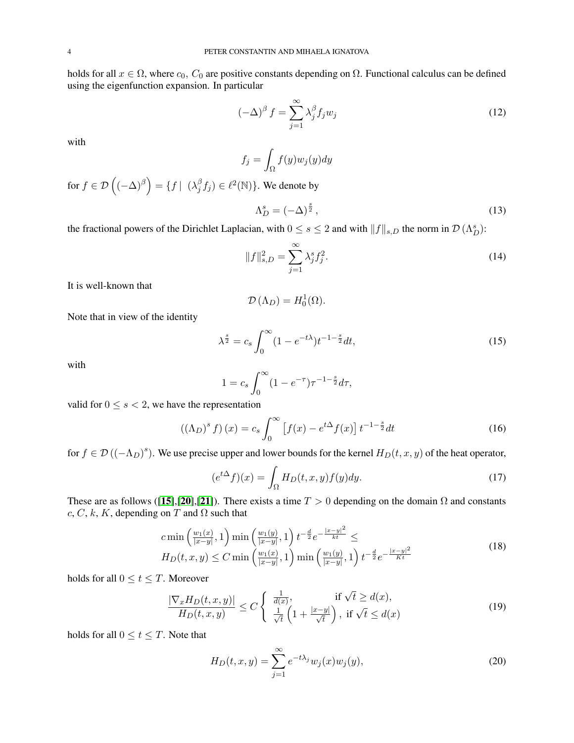holds for all  $x \in \Omega$ , where  $c_0$ ,  $C_0$  are positive constants depending on  $\Omega$ . Functional calculus can be defined using the eigenfunction expansion. In particular

$$
(-\Delta)^{\beta} f = \sum_{j=1}^{\infty} \lambda_j^{\beta} f_j w_j
$$
 (12)

with

$$
f_j = \int_{\Omega} f(y) w_j(y) dy
$$

for  $f \in \mathcal{D}\left((-\Delta)^{\beta}\right) = \{f \mid (\lambda_i^{\beta})$  $\mathcal{E}_{j}^{\beta}f_{j})\in\ell^{2}(\mathbb{N})\}.$  We denote by

$$
\Lambda_D^s = (-\Delta)^{\frac{s}{2}},\tag{13}
$$

the fractional powers of the Dirichlet Laplacian, with  $0 \le s \le 2$  and with  $||f||_{s,D}$  the norm in  $\mathcal{D}(\Lambda_D^s)$ :

$$
||f||_{s,D}^{2} = \sum_{j=1}^{\infty} \lambda_{j}^{s} f_{j}^{2}.
$$
 (14)

It is well-known that

$$
\mathcal{D}\left(\Lambda_{D}\right) = H_{0}^{1}(\Omega).
$$

Note that in view of the identity

$$
\lambda^{\frac{s}{2}} = c_s \int_0^\infty (1 - e^{-t\lambda}) t^{-1 - \frac{s}{2}} dt,\tag{15}
$$

with

$$
1 = c_s \int_0^\infty (1 - e^{-\tau}) \tau^{-1 - \frac{s}{2}} d\tau,
$$

valid for  $0 \leq s < 2$ , we have the representation

$$
((\Lambda_D)^s f)(x) = c_s \int_0^\infty \left[ f(x) - e^{t\Delta} f(x) \right] t^{-1-\frac{s}{2}} dt \tag{16}
$$

for  $f \in \mathcal{D}((-\Lambda_D)^s)$ . We use precise upper and lower bounds for the kernel  $H_D(t, x, y)$  of the heat operator,

$$
(e^{t\Delta}f)(x) = \int_{\Omega} H_D(t, x, y) f(y) dy.
$$
 (17)

These are as follows ([[15](#page-20-7)],[[20](#page-20-8)],[[21](#page-20-9)]). There exists a time  $T > 0$  depending on the domain  $\Omega$  and constants  $c, C, k, K$ , depending on T and  $\Omega$  such that

<span id="page-3-1"></span>
$$
c \min\left(\frac{w_1(x)}{|x-y|}, 1\right) \min\left(\frac{w_1(y)}{|x-y|}, 1\right) t^{-\frac{d}{2}} e^{-\frac{|x-y|^2}{kt}} \le
$$
  
\n
$$
H_D(t, x, y) \le C \min\left(\frac{w_1(x)}{|x-y|}, 1\right) \min\left(\frac{w_1(y)}{|x-y|}, 1\right) t^{-\frac{d}{2}} e^{-\frac{|x-y|^2}{Kt}}
$$
\n(18)

holds for all  $0 \le t \le T$ . Moreover

<span id="page-3-0"></span>
$$
\frac{|\nabla_x H_D(t, x, y)|}{H_D(t, x, y)} \le C \begin{cases} \frac{1}{d(x)}, & \text{if } \sqrt{t} \ge d(x),\\ \frac{1}{\sqrt{t}} \left(1 + \frac{|x - y|}{\sqrt{t}}\right), & \text{if } \sqrt{t} \le d(x) \end{cases}
$$
\n(19)

holds for all  $0 \le t \le T$ . Note that

<span id="page-3-2"></span>
$$
H_D(t, x, y) = \sum_{j=1}^{\infty} e^{-t\lambda_j} w_j(x) w_j(y),
$$
\n(20)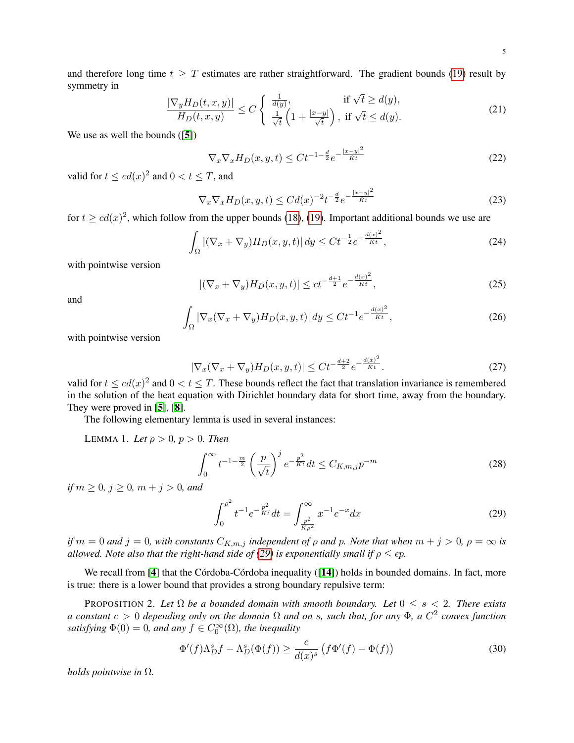<span id="page-4-2"></span>
$$
\frac{|\nabla_y H_D(t, x, y)|}{H_D(t, x, y)} \le C \begin{cases} \frac{1}{d(y)}, & \text{if } \sqrt{t} \ge d(y),\\ \frac{1}{\sqrt{t}} \left(1 + \frac{|x - y|}{\sqrt{t}}\right), & \text{if } \sqrt{t} \le d(y). \end{cases}
$$
\n(21)

We use as well the bounds ([[5](#page-19-5)])

<span id="page-4-4"></span>
$$
\nabla_x \nabla_x H_D(x, y, t) \le C t^{-1 - \frac{d}{2}} e^{-\frac{|x - y|^2}{\tilde{K}t}} \tag{22}
$$

valid for  $t \leq cd(x)^2$  and  $0 < t \leq T$ , and

$$
\nabla_x \nabla_x H_D(x, y, t) \le C d(x)^{-2} t^{-\frac{d}{2}} e^{-\frac{|x - y|^2}{\tilde{K}t}} \tag{23}
$$

for  $t \geq c d(x)^2$ , which follow from the upper bounds [\(18\)](#page-3-1), [\(19\)](#page-3-0). Important additional bounds we use are

<span id="page-4-5"></span>
$$
\int_{\Omega} |(\nabla_x + \nabla_y) H_D(x, y, t)| dy \le Ct^{-\frac{1}{2}} e^{-\frac{d(x)^2}{\tilde{K}t}},
$$
\n(24)

with pointwise version

<span id="page-4-1"></span>
$$
|(\nabla_x + \nabla_y)H_D(x, y, t)| \le ct^{-\frac{d+1}{2}} e^{-\frac{d(x)^2}{\tilde{K}t}},
$$
\n(25)

and

$$
\int_{\Omega} |\nabla_x (\nabla_x + \nabla_y) H_D(x, y, t)| dy \le Ct^{-1} e^{-\frac{d(x)^2}{\tilde{K}t}},
$$
\n(26)

with pointwise version

<span id="page-4-6"></span>
$$
|\nabla_x (\nabla_x + \nabla_y) H_D(x, y, t)| \le C t^{-\frac{d+2}{2}} e^{-\frac{d(x)^2}{\tilde{K}t}}.
$$
 (27)

valid for  $t \leq c d(x)^2$  and  $0 < t \leq T$ . These bounds reflect the fact that translation invariance is remembered in the solution of the heat equation with Dirichlet boundary data for short time, away from the boundary. They were proved in [[5](#page-19-5)], [[8](#page-19-8)].

The following elementary lemma is used in several instances:

<span id="page-4-3"></span>LEMMA 1. Let  $\rho > 0$ ,  $p > 0$ . Then

$$
\int_0^\infty t^{-1-\frac{m}{2}} \left(\frac{p}{\sqrt{t}}\right)^j e^{-\frac{p^2}{Kt}} dt \le C_{K,m,j} p^{-m} \tag{28}
$$

*if*  $m \ge 0$ *,*  $j \ge 0$ *,*  $m + j > 0$ *, and* 

<span id="page-4-0"></span>
$$
\int_0^{\rho^2} t^{-1} e^{-\frac{p^2}{Kt}} dt = \int_{\frac{p^2}{K\rho^2}}^{\infty} x^{-1} e^{-x} dx
$$
 (29)

*if*  $m = 0$  *and*  $j = 0$ *, with constants*  $C_{K,m,j}$  *independent of*  $\rho$  *and*  $p$ *. Note that when*  $m + j > 0$ *,*  $\rho = \infty$  *is allowed. Note also that the right-hand side of [\(29\)](#page-4-0) is exponentially small if*  $\rho \leq \epsilon p$ .

We recall from  $[4]$  $[4]$  $[4]$  that the Córdoba-Córdoba inequality  $([14])$  $([14])$  $([14])$  holds in bounded domains. In fact, more is true: there is a lower bound that provides a strong boundary repulsive term:

PROPOSITION 2. Let  $\Omega$  be a bounded domain with smooth boundary. Let  $0 \leq s < 2$ . There exists *a constant* c > 0 *depending only on the domain* Ω *and on* s*, such that, for any* Φ*, a* C 2 *convex function satisfying*  $\Phi(0) = 0$ *, and any*  $f \in C_0^{\infty}(\Omega)$ *, the inequality* 

<span id="page-4-7"></span>
$$
\Phi'(f)\Lambda_D^s f - \Lambda_D^s(\Phi(f)) \ge \frac{c}{d(x)^s} \left(f\Phi'(f) - \Phi(f)\right) \tag{30}
$$

*holds pointwise in* Ω*.*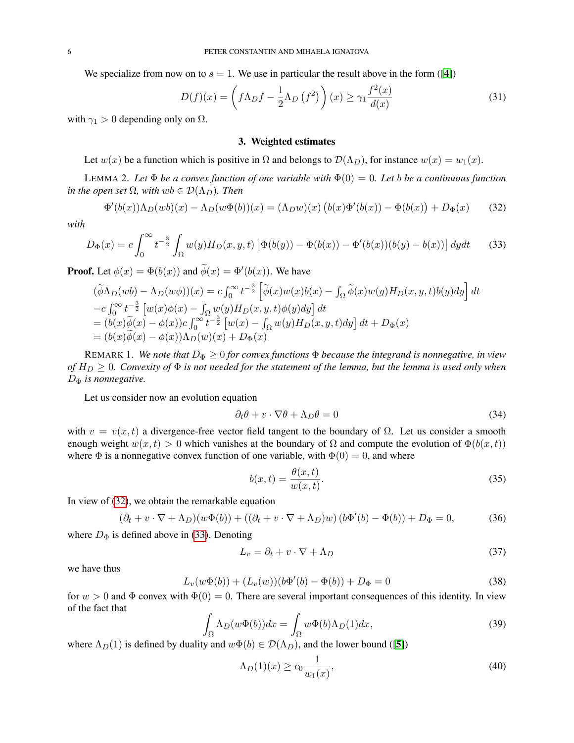We specialize from now on to  $s = 1$ . We use in particular the result above in the form ([[4](#page-19-7)])

<span id="page-5-6"></span>
$$
D(f)(x) = \left(f\Lambda_D f - \frac{1}{2}\Lambda_D(f^2)\right)(x) \ge \gamma_1 \frac{f^2(x)}{d(x)}
$$
(31)

<span id="page-5-0"></span>with  $\gamma_1 > 0$  depending only on  $\Omega$ .

## 3. Weighted estimates

Let  $w(x)$  be a function which is positive in  $\Omega$  and belongs to  $\mathcal{D}(\Lambda_D)$ , for instance  $w(x) = w_1(x)$ .

LEMMA 2. Let  $\Phi$  *be a convex function of one variable with*  $\Phi(0) = 0$ . Let *b be a continuous function in the open set*  $\Omega$ *, with*  $wb \in \mathcal{D}(\Lambda_D)$ *. Then* 

<span id="page-5-1"></span>
$$
\Phi'(b(x))\Lambda_D(wb)(x) - \Lambda_D(w\Phi(b))(x) = (\Lambda_D w)(x)\left(b(x)\Phi'(b(x)) - \Phi(b(x)) + D_{\Phi}(x)\right) \tag{32}
$$

*with*

<span id="page-5-2"></span>
$$
D_{\Phi}(x) = c \int_0^{\infty} t^{-\frac{3}{2}} \int_{\Omega} w(y) H_D(x, y, t) \left[ \Phi(b(y)) - \Phi(b(x)) - \Phi'(b(x)) (b(y) - b(x)) \right] dy dt \tag{33}
$$

**Proof.** Let  $\phi(x) = \Phi(b(x))$  and  $\tilde{\phi}(x) = \Phi'(b(x))$ . We have

$$
(\widetilde{\phi}\Lambda_D(wb) - \Lambda_D(w\phi))(x) = c \int_0^\infty t^{-\frac{3}{2}} \left[ \widetilde{\phi}(x)w(x)b(x) - \int_\Omega \widetilde{\phi}(x)w(y)H_D(x, y, t)b(y)dy \right] dt
$$
  
\n
$$
-c \int_0^\infty t^{-\frac{3}{2}} \left[ w(x)\phi(x) - \int_\Omega w(y)H_D(x, y, t)\phi(y)dy \right] dt
$$
  
\n
$$
= (b(x)\widetilde{\phi}(x) - \phi(x))c \int_0^\infty t^{-\frac{3}{2}} \left[ w(x) - \int_\Omega w(y)H_D(x, y, t)dy \right] dt + D_{\Phi}(x)
$$
  
\n
$$
= (b(x)\widetilde{\phi}(x) - \phi(x))\Lambda_D(w)(x) + D_{\Phi}(x)
$$

REMARK 1. We note that  $D_{\Phi} \geq 0$  for convex functions  $\Phi$  because the integrand is nonnegative, in view *of*  $H_D \geq 0$ . Convexity of  $\Phi$  is not needed for the statement of the lemma, but the lemma is used only when D<sub>Φ</sub> is nonnegative.

Let us consider now an evolution equation

<span id="page-5-5"></span>
$$
\partial_t \theta + v \cdot \nabla \theta + \Lambda_D \theta = 0 \tag{34}
$$

with  $v = v(x, t)$  a divergence-free vector field tangent to the boundary of  $\Omega$ . Let us consider a smooth enough weight  $w(x, t) > 0$  which vanishes at the boundary of  $\Omega$  and compute the evolution of  $\Phi(b(x, t))$ where  $\Phi$  is a nonnegative convex function of one variable, with  $\Phi(0) = 0$ , and where

<span id="page-5-4"></span>
$$
b(x,t) = \frac{\theta(x,t)}{w(x,t)}.\tag{35}
$$

In view of [\(32\)](#page-5-1), we obtain the remarkable equation

$$
(\partial_t + v \cdot \nabla + \Lambda_D)(w\Phi(b)) + ((\partial_t + v \cdot \nabla + \Lambda_D)w)(b\Phi'(b) - \Phi(b)) + D_{\Phi} = 0,
$$
 (36)

where  $D_{\Phi}$  is defined above in [\(33\)](#page-5-2). Denoting

$$
L_v = \partial_t + v \cdot \nabla + \Lambda_D \tag{37}
$$

we have thus

<span id="page-5-3"></span>
$$
L_v(w\Phi(b)) + (L_v(w))(b\Phi'(b) - \Phi(b)) + D_{\Phi} = 0
$$
\n(38)

for  $w > 0$  and  $\Phi$  convex with  $\Phi(0) = 0$ . There are several important consequences of this identity. In view of the fact that

$$
\int_{\Omega} \Lambda_D(w\Phi(b))dx = \int_{\Omega} w\Phi(b)\Lambda_D(1)dx,\tag{39}
$$

where  $\Lambda_D(1)$  is defined by duality and  $w\Phi(b) \in \mathcal{D}(\Lambda_D)$ , and the lower bound ([[5](#page-19-5)])

$$
\Lambda_D(1)(x) \ge c_0 \frac{1}{w_1(x)},\tag{40}
$$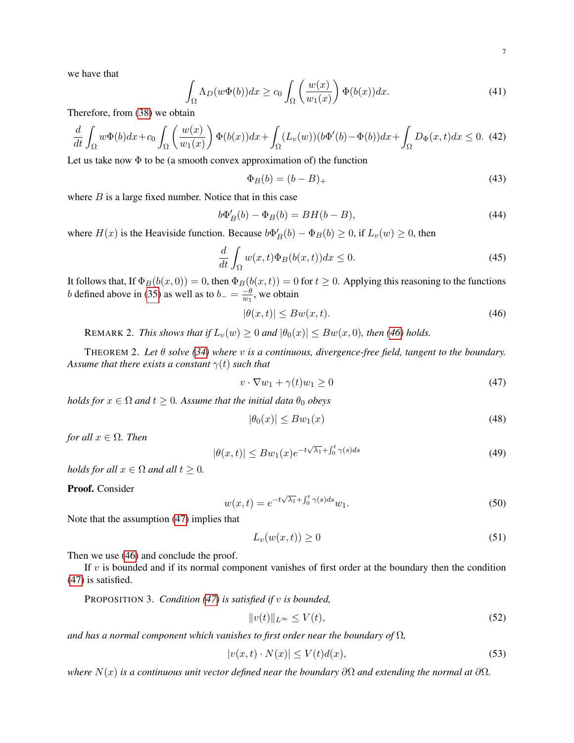we have that

$$
\int_{\Omega} \Lambda_D(w\Phi(b))dx \ge c_0 \int_{\Omega} \left(\frac{w(x)}{w_1(x)}\right) \Phi(b(x))dx.
$$
\n(41)

Therefore, from [\(38\)](#page-5-3) we obtain

<span id="page-6-5"></span>
$$
\frac{d}{dt} \int_{\Omega} w \Phi(b) dx + c_0 \int_{\Omega} \left( \frac{w(x)}{w_1(x)} \right) \Phi(b(x)) dx + \int_{\Omega} (L_v(w)) (b \Phi'(b) - \Phi(b)) dx + \int_{\Omega} D_{\Phi}(x, t) dx \le 0. \tag{42}
$$

Let us take now  $\Phi$  to be (a smooth convex approximation of) the function

$$
\Phi_B(b) = (b - B)_+\tag{43}
$$

where  $B$  is a large fixed number. Notice that in this case

$$
b\Phi'_B(b) - \Phi_B(b) = BH(b - B),\tag{44}
$$

where  $H(x)$  is the Heaviside function. Because  $b\Phi'_{B}(b) - \Phi_{B}(b) \ge 0$ , if  $L_v(w) \ge 0$ , then

$$
\frac{d}{dt} \int_{\Omega} w(x,t) \Phi_B(b(x,t)) dx \le 0.
$$
\n(45)

It follows that, If  $\Phi_B(b(x, 0)) = 0$ , then  $\Phi_B(b(x, t)) = 0$  for  $t \ge 0$ . Applying this reasoning to the functions *b* defined above in [\(35\)](#page-5-4) as well as to  $b_- = \frac{-\theta}{w_1}$  $\frac{-\theta}{w_1}$ , we obtain

<span id="page-6-0"></span>
$$
|\theta(x,t)| \le Bw(x,t). \tag{46}
$$

REMARK 2. *This shows that if*  $L_v(w) \geq 0$  *and*  $|\theta_0(x)| \leq Bw(x, 0)$ *, then* [\(46\)](#page-6-0) *holds.* 

<span id="page-6-4"></span>THEOREM 2. *Let* θ *solve [\(34\)](#page-5-5) where* v *is a continuous, divergence-free field, tangent to the boundary. Assume that there exists a constant*  $\gamma(t)$  *such that* 

<span id="page-6-1"></span>
$$
v \cdot \nabla w_1 + \gamma(t)w_1 \ge 0 \tag{47}
$$

*holds for*  $x \in \Omega$  *and*  $t \geq 0$ *. Assume that the initial data*  $\theta_0$  *obeys* 

$$
|\theta_0(x)| \le Bw_1(x) \tag{48}
$$

*for all*  $x \in \Omega$ *. Then* 

<span id="page-6-6"></span>
$$
|\theta(x,t)| \le Bw_1(x)e^{-t\sqrt{\lambda_1} + \int_0^t \gamma(s)ds}
$$
\n(49)

*holds for all*  $x \in \Omega$  *and all*  $t \geq 0$ *.* 

Proof. Consider

$$
w(x,t) = e^{-t\sqrt{\lambda_1} + \int_0^t \gamma(s)ds} w_1.
$$
\n(50)

Note that the assumption [\(47\)](#page-6-1) implies that

$$
L_v(w(x,t)) \ge 0\tag{51}
$$

Then we use  $(46)$  and conclude the proof.

If  $v$  is bounded and if its normal component vanishes of first order at the boundary then the condition [\(47\)](#page-6-1) is satisfied.

<span id="page-6-3"></span>PROPOSITION 3. *Condition [\(47\)](#page-6-1) is satisfied if* v *is bounded,*

$$
||v(t)||_{L^{\infty}} \le V(t),\tag{52}
$$

*and has a normal component which vanishes to first order near the boundary of* Ω*,*

<span id="page-6-2"></span>
$$
|v(x,t) \cdot N(x)| \le V(t)d(x),\tag{53}
$$

*where*  $N(x)$  *is a continuous unit vector defined near the boundary*  $\partial\Omega$  *and extending the normal at*  $\partial\Omega$ *.*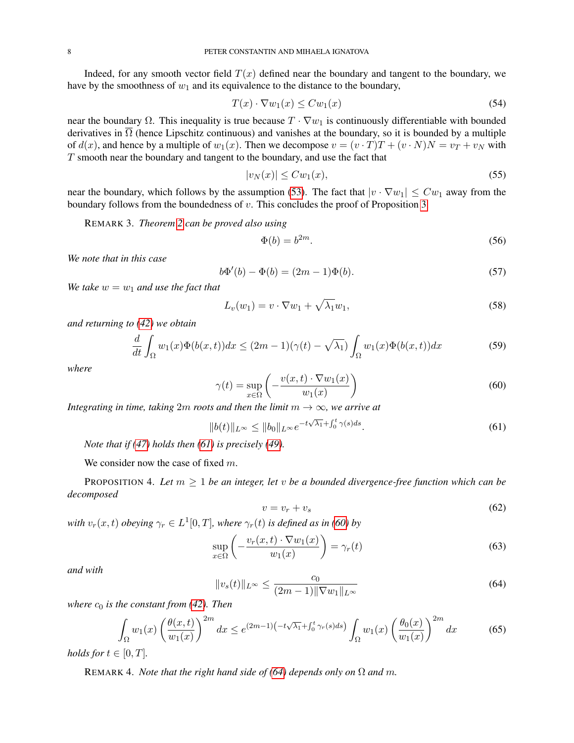Indeed, for any smooth vector field  $T(x)$  defined near the boundary and tangent to the boundary, we have by the smoothness of  $w_1$  and its equivalence to the distance to the boundary,

$$
T(x) \cdot \nabla w_1(x) \leq C w_1(x) \tag{54}
$$

near the boundary  $\Omega$ . This inequality is true because  $T \cdot \nabla w_1$  is continuously differentiable with bounded derivatives in  $\overline{\Omega}$  (hence Lipschitz continuous) and vanishes at the boundary, so it is bounded by a multiple of  $d(x)$ , and hence by a multiple of  $w_1(x)$ . Then we decompose  $v = (v \cdot T)T + (v \cdot N)N = v_T + v_N$  with T smooth near the boundary and tangent to the boundary, and use the fact that

$$
|v_N(x)| \le C w_1(x),\tag{55}
$$

near the boundary, which follows by the assumption [\(53\)](#page-6-2). The fact that  $|v \cdot \nabla w_1| \leq C w_1$  away from the boundary follows from the boundedness of  $v$ . This concludes the proof of Proposition [3.](#page-6-3)

REMARK 3. *Theorem [2](#page-6-4) can be proved also using*

<span id="page-7-3"></span>
$$
\Phi(b) = b^{2m}.\tag{56}
$$

*We note that in this case*

<span id="page-7-5"></span>
$$
b\Phi'(b) - \Phi(b) = (2m - 1)\Phi(b).
$$
\n(57)

*We take*  $w = w_1$  *and use the fact that* 

$$
L_v(w_1) = v \cdot \nabla w_1 + \sqrt{\lambda_1} w_1,\tag{58}
$$

*and returning to [\(42\)](#page-6-5) we obtain*

$$
\frac{d}{dt} \int_{\Omega} w_1(x) \Phi(b(x,t)) dx \le (2m-1)(\gamma(t) - \sqrt{\lambda_1}) \int_{\Omega} w_1(x) \Phi(b(x,t)) dx \tag{59}
$$

*where*

<span id="page-7-1"></span>
$$
\gamma(t) = \sup_{x \in \Omega} \left( -\frac{v(x, t) \cdot \nabla w_1(x)}{w_1(x)} \right) \tag{60}
$$

*Integrating in time, taking*  $2m$  *roots and then the limit*  $m \rightarrow \infty$ *, we arrive at* 

<span id="page-7-0"></span>
$$
||b(t)||_{L^{\infty}} \le ||b_0||_{L^{\infty}} e^{-t\sqrt{\lambda_1} + \int_0^t \gamma(s)ds}.
$$
\n(61)

*Note that if [\(47\)](#page-6-1) holds then [\(61\)](#page-7-0) is precisely [\(49\)](#page-6-6).*

We consider now the case of fixed  $m$ .

<span id="page-7-8"></span>PROPOSITION 4. Let  $m \geq 1$  be an integer, let v be a bounded divergence-free function which can be *decomposed*

<span id="page-7-7"></span>
$$
v = v_r + v_s \tag{62}
$$

with  $v_r(x, t)$  *obeying*  $\gamma_r \in L^1[0, T]$ *, where*  $\gamma_r(t)$  *is defined as in [\(60\)](#page-7-1) by* 

<span id="page-7-4"></span>
$$
\sup_{x \in \Omega} \left( -\frac{v_r(x, t) \cdot \nabla w_1(x)}{w_1(x)} \right) = \gamma_r(t) \tag{63}
$$

*and with*

<span id="page-7-2"></span>
$$
||v_s(t)||_{L^{\infty}} \le \frac{c_0}{(2m-1)||\nabla w_1||_{L^{\infty}}} \tag{64}
$$

*where*  $c_0$  *is the constant from* [\(42\)](#page-6-5)*. Then* 

<span id="page-7-6"></span>
$$
\int_{\Omega} w_1(x) \left(\frac{\theta(x,t)}{w_1(x)}\right)^{2m} dx \le e^{(2m-1)\left(-t\sqrt{\lambda_1} + \int_0^t \gamma_r(s)ds\right)} \int_{\Omega} w_1(x) \left(\frac{\theta_0(x)}{w_1(x)}\right)^{2m} dx \tag{65}
$$

*holds for*  $t \in [0, T]$ *.* 

REMARK 4. *Note that the right hand side of [\(64\)](#page-7-2) depends only on*  $\Omega$  *and* m.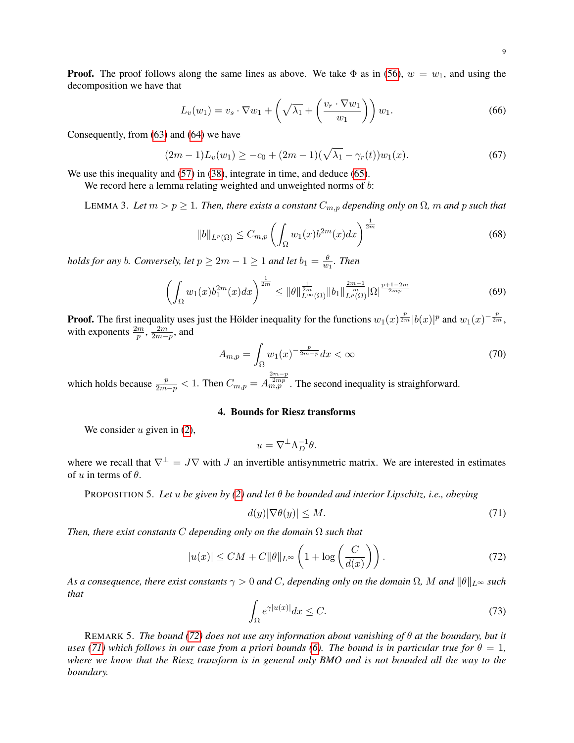**Proof.** The proof follows along the same lines as above. We take  $\Phi$  as in [\(56\)](#page-7-3),  $w = w_1$ , and using the decomposition we have that

$$
L_v(w_1) = v_s \cdot \nabla w_1 + \left(\sqrt{\lambda_1} + \left(\frac{v_r \cdot \nabla w_1}{w_1}\right)\right) w_1.
$$
 (66)

Consequently, from [\(63\)](#page-7-4) and [\(64\)](#page-7-2) we have

$$
(2m-1)L_v(w_1) \ge -c_0 + (2m-1)(\sqrt{\lambda_1} - \gamma_r(t))w_1(x). \tag{67}
$$

We use this inequality and  $(57)$  in  $(38)$ , integrate in time, and deduce  $(65)$ .

We record here a lemma relating weighted and unweighted norms of b:

<span id="page-8-4"></span>LEMMA 3. Let  $m > p \ge 1$ . Then, there exists a constant  $C_{m,p}$  depending only on  $\Omega$ ,  $m$  and  $p$  such that

$$
||b||_{L^{p}(\Omega)} \leq C_{m,p} \left( \int_{\Omega} w_1(x) b^{2m}(x) dx \right)^{\frac{1}{2m}} \tag{68}
$$

*holds for any b. Conversely, let*  $p \geq 2m - 1 \geq 1$  *and let*  $b_1 = \frac{\theta}{w}$  $\frac{\theta}{w_1}$ . Then

$$
\left(\int_{\Omega} w_1(x)b_1^{2m}(x)dx\right)^{\frac{1}{2m}} \le \|\theta\|_{L^{\infty}(\Omega)}^{\frac{1}{2m}} \|b_1\|_{L^p(\Omega)}^{\frac{2m-1}{m}} |\Omega|^{\frac{p+1-2m}{2mp}} \tag{69}
$$

**Proof.** The first inequality uses just the Hölder inequality for the functions  $w_1(x) \frac{p}{2m} |b(x)|^p$  and  $w_1(x)^{-\frac{p}{2m}}$ , with exponents  $\frac{2m}{p}$ ,  $\frac{2m}{2m-p}$ , and

$$
A_{m,p} = \int_{\Omega} w_1(x)^{-\frac{p}{2m-p}} dx < \infty \tag{70}
$$

which holds because  $\frac{p}{2m-p} < 1$ . Then  $C_{m,p} = A_{m,p}^{\frac{2m-p}{2mp}}$ . The second inequality is straighforward.

# 4. Bounds for Riesz transforms

<span id="page-8-1"></span>We consider  $u$  given in  $(2)$ ,

$$
u = \nabla^{\perp} \Lambda_D^{-1} \theta.
$$

where we recall that  $\nabla^{\perp} = J\nabla$  with J an invertible antisymmetric matrix. We are interested in estimates of u in terms of  $\theta$ .

<span id="page-8-0"></span>PROPOSITION 5. *Let* u *be given by [\(2\)](#page-0-2) and let* θ *be bounded and interior Lipschitz, i.e., obeying*

<span id="page-8-3"></span>
$$
d(y)|\nabla\theta(y)| \le M. \tag{71}
$$

*Then, there exist constants* C *depending only on the domain* Ω *such that*

<span id="page-8-2"></span>
$$
|u(x)| \le CM + C \|\theta\|_{L^{\infty}} \left(1 + \log\left(\frac{C}{d(x)}\right)\right). \tag{72}
$$

*As a consequence, there exist constants*  $\gamma > 0$  *and* C, depending only on the domain  $\Omega$ , M and  $\|\theta\|_{L^{\infty}}$  such *that*

$$
\int_{\Omega} e^{\gamma |u(x)|} dx \le C. \tag{73}
$$

REMARK 5. *The bound [\(72\)](#page-8-2) does not use any information about vanishing of* θ *at the boundary, but it uses [\(71\)](#page-8-3)* which follows in our case from a priori bounds [\(6\)](#page-1-0). The bound is in particular true for  $\theta = 1$ , *where we know that the Riesz transform is in general only BMO and is not bounded all the way to the boundary.*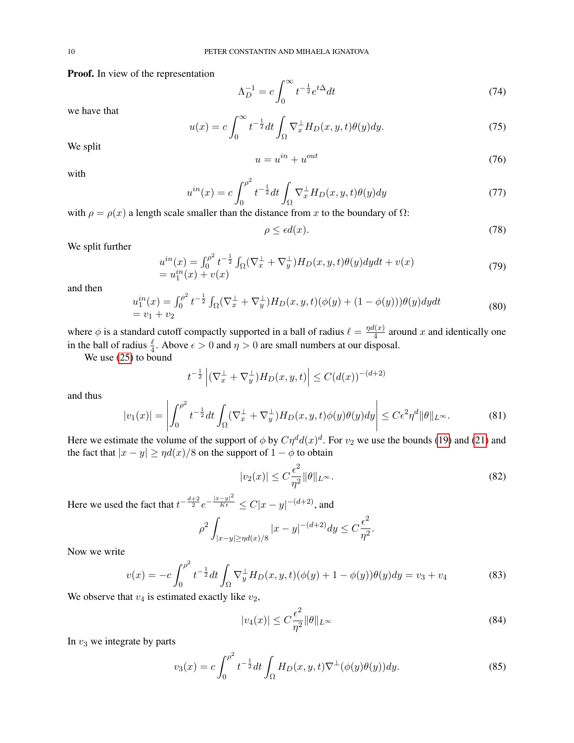Proof. In view of the representation

$$
\Lambda_D^{-1} = c \int_0^\infty t^{-\frac{1}{2}} e^{t\Delta} dt \tag{74}
$$

we have that

$$
u(x) = c \int_0^\infty t^{-\frac{1}{2}} dt \int_\Omega \nabla_x^\perp H_D(x, y, t) \theta(y) dy.
$$
 (75)

We split

$$
u = u^{in} + u^{out} \tag{76}
$$

with

<span id="page-9-3"></span>
$$
u^{in}(x) = c \int_0^{\rho^2} t^{-\frac{1}{2}} dt \int_{\Omega} \nabla_x^{\perp} H_D(x, y, t) \theta(y) dy \tag{77}
$$

with  $\rho = \rho(x)$  a length scale smaller than the distance from x to the boundary of  $\Omega$ :

$$
\rho \le \epsilon d(x). \tag{78}
$$

We split further

$$
u^{in}(x) = \int_0^{\rho^2} t^{-\frac{1}{2}} \int_{\Omega} (\nabla_x^{\perp} + \nabla_y^{\perp}) H_D(x, y, t) \theta(y) dy dt + v(x)
$$
  
=  $u_1^{in}(x) + v(x)$  (79)

and then

$$
u_1^{in}(x) = \int_0^{\rho^2} t^{-\frac{1}{2}} \int_{\Omega} (\nabla_x^{\perp} + \nabla_y^{\perp}) H_D(x, y, t) (\phi(y) + (1 - \phi(y))) \theta(y) dy dt
$$
  
=  $v_1 + v_2$  (80)

where  $\phi$  is a standard cutoff compactly supported in a ball of radius  $\ell = \frac{\eta d(x)}{4}$  $\frac{d(x)}{4}$  around x and identically one in the ball of radius  $\frac{\ell}{4}$ . Above  $\epsilon > 0$  and  $\eta > 0$  are small numbers at our disposal.

We use [\(25\)](#page-4-1) to bound

$$
t^{-\frac{1}{2}} \left| (\nabla_x^{\perp} + \nabla_y^{\perp}) H_D(x, y, t) \right| \le C (d(x))^{-(d+2)}
$$

and thus

<span id="page-9-0"></span>
$$
|v_1(x)| = \left| \int_0^{\rho^2} t^{-\frac{1}{2}} dt \int_{\Omega} (\nabla_x^{\perp} + \nabla_y^{\perp}) H_D(x, y, t) \phi(y) \theta(y) dy \right| \le C \epsilon^2 \eta^d \|\theta\|_{L^{\infty}}.
$$
 (81)

Here we estimate the volume of the support of  $\phi$  by  $C\eta^d d(x)^d$ . For  $v_2$  we use the bounds [\(19\)](#page-3-0) and [\(21\)](#page-4-2) and the fact that  $|x - y| \ge \eta d(x)/8$  on the support of  $1 - \phi$  to obtain

<span id="page-9-1"></span>
$$
|v_2(x)| \le C \frac{\epsilon^2}{\eta^2} ||\theta||_{L^\infty}.\tag{82}
$$

Here we used the fact that  $t^{-\frac{d+2}{2}}e^{-\frac{|x-y|^2}{Kt}} \leq C|x-y|^{-(d+2)}$ , and

$$
\rho^2 \int_{|x-y| \ge \eta d(x)/8} |x-y|^{-(d+2)} dy \le C \frac{\epsilon^2}{\eta^2}.
$$

Now we write

$$
v(x) = -c \int_0^{\rho^2} t^{-\frac{1}{2}} dt \int_{\Omega} \nabla_y^{\perp} H_D(x, y, t) (\phi(y) + 1 - \phi(y)) \theta(y) dy = v_3 + v_4
$$
 (83)

We observe that  $v_4$  is estimated exactly like  $v_2$ ,

<span id="page-9-2"></span>
$$
|v_4(x)| \le C \frac{\epsilon^2}{\eta^2} \|\theta\|_{L^\infty} \tag{84}
$$

In  $v_3$  we integrate by parts

$$
v_3(x) = c \int_0^{\rho^2} t^{-\frac{1}{2}} dt \int_{\Omega} H_D(x, y, t) \nabla^{\perp} (\phi(y)\theta(y)) dy.
$$
 (85)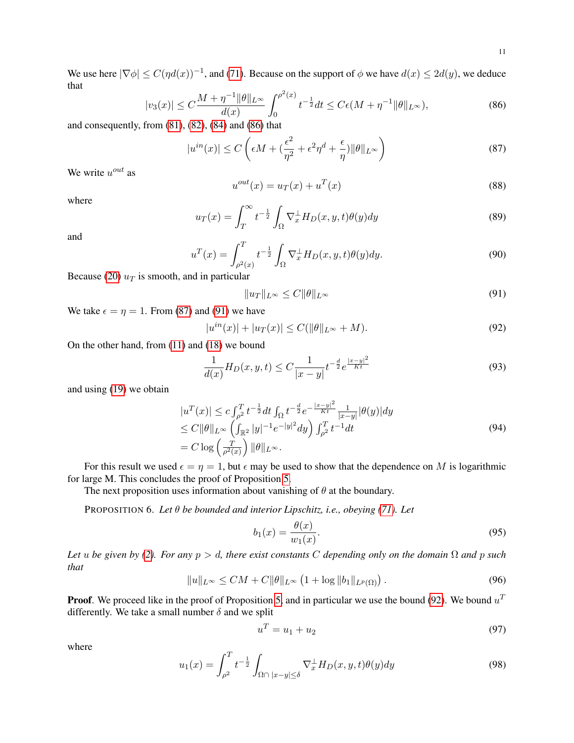We use here  $|\nabla \phi| \le C(\eta d(x))^{-1}$ , and [\(71\)](#page-8-3). Because on the support of  $\phi$  we have  $d(x) \le 2d(y)$ , we deduce that

<span id="page-10-1"></span>
$$
|v_3(x)| \le C \frac{M + \eta^{-1} \|\theta\|_{L^\infty}}{d(x)} \int_0^{\rho^2(x)} t^{-\frac{1}{2}} dt \le C\epsilon (M + \eta^{-1} \|\theta\|_{L^\infty}),
$$
\n(86)

and consequently, from  $(81)$ ,  $(82)$ ,  $(84)$  and  $(86)$  that

<span id="page-10-2"></span>
$$
|u^{in}(x)| \le C\left(\epsilon M + \left(\frac{\epsilon^2}{\eta^2} + \epsilon^2 \eta^d + \frac{\epsilon}{\eta}\right) ||\theta||_{L^\infty}\right) \tag{87}
$$

We write  $u^{out}$  as

$$
u^{out}(x) = u_T(x) + u^T(x)
$$
\n(88)

where

$$
u_T(x) = \int_T^{\infty} t^{-\frac{1}{2}} \int_{\Omega} \nabla_x^{\perp} H_D(x, y, t) \theta(y) dy
$$
\n(89)

and

<span id="page-10-7"></span>
$$
u^T(x) = \int_{\rho^2(x)}^T t^{-\frac{1}{2}} \int_{\Omega} \nabla_x^{\perp} H_D(x, y, t) \theta(y) dy.
$$
 (90)

Because [\(20\)](#page-3-2)  $u_T$  is smooth, and in particular

<span id="page-10-3"></span>
$$
||u_T||_{L^{\infty}} \le C ||\theta||_{L^{\infty}}
$$
\n(91)

We take  $\epsilon = \eta = 1$ . From [\(87\)](#page-10-2) and [\(91\)](#page-10-3) we have

<span id="page-10-4"></span>
$$
|u^{in}(x)| + |u_T(x)| \le C(||\theta||_{L^{\infty}} + M). \tag{92}
$$

On the other hand, from [\(11\)](#page-2-1) and [\(18\)](#page-3-1) we bound

<span id="page-10-5"></span>
$$
\frac{1}{d(x)}H_D(x,y,t) \le C \frac{1}{|x-y|} t^{-\frac{d}{2}} e^{\frac{|x-y|^2}{Kt}} \tag{93}
$$

and using [\(19\)](#page-3-0) we obtain

$$
|u^T(x)| \le c \int_{\rho^2}^T t^{-\frac{1}{2}} dt \int_{\Omega} t^{-\frac{d}{2}} e^{-\frac{|x-y|^2}{Kt}} \frac{1}{|x-y|} |\theta(y)| dy
$$
  
\n
$$
\le C \|\theta\|_{L^\infty} \left( \int_{\mathbb{R}^2} |y|^{-1} e^{-|y|^2} dy \right) \int_{\rho^2}^T t^{-1} dt
$$
  
\n
$$
= C \log \left( \frac{T}{\rho^2(x)} \right) \|\theta\|_{L^\infty}.
$$
\n(94)

For this result we used  $\epsilon = \eta = 1$ , but  $\epsilon$  may be used to show that the dependence on M is logarithmic for large M. This concludes the proof of Proposition [5.](#page-8-0)

The next proposition uses information about vanishing of  $\theta$  at the boundary.

<span id="page-10-0"></span>PROPOSITION 6. *Let* θ *be bounded and interior Lipschitz, i.e., obeying [\(71\)](#page-8-3). Let*

$$
b_1(x) = \frac{\theta(x)}{w_1(x)}.\tag{95}
$$

*Let* u be given by [\(2\)](#page-0-2). For any  $p > d$ , there exist constants C depending only on the domain  $\Omega$  and  $p$  such *that*

<span id="page-10-6"></span>
$$
||u||_{L^{\infty}} \le CM + C||\theta||_{L^{\infty}} \left(1 + \log ||b_1||_{L^p(\Omega)}\right).
$$
\n(96)

**Proof.** We proceed like in the proof of Proposition [5,](#page-8-0) and in particular we use the bound [\(92\)](#page-10-4). We bound  $u<sup>T</sup>$ differently. We take a small number  $\delta$  and we split

$$
u^T = u_1 + u_2 \tag{97}
$$

where

$$
u_1(x) = \int_{\rho^2}^T t^{-\frac{1}{2}} \int_{\Omega \cap |x-y| \le \delta} \nabla_x^{\perp} H_D(x, y, t) \theta(y) dy \tag{98}
$$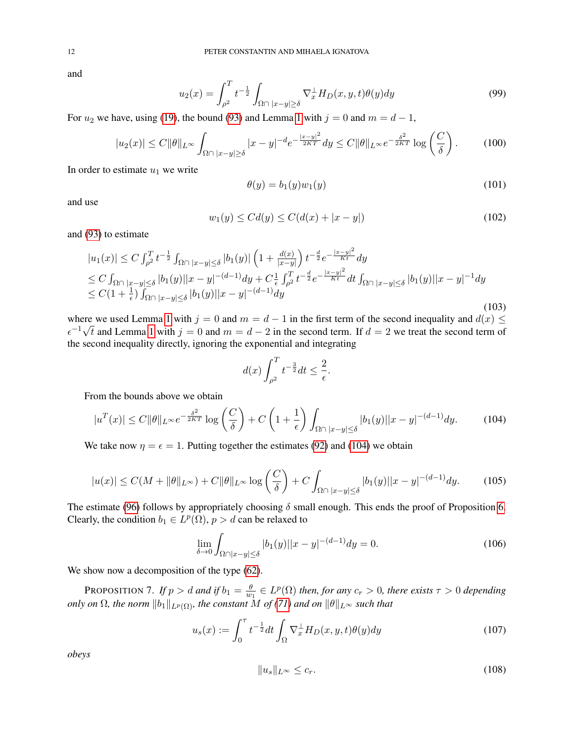and

$$
u_2(x) = \int_{\rho^2}^T t^{-\frac{1}{2}} \int_{\Omega \cap |x-y| \ge \delta} \nabla_x^{\perp} H_D(x, y, t) \theta(y) dy \tag{99}
$$

For  $u_2$  we have, using [\(19\)](#page-3-0), the bound [\(93\)](#page-10-5) and Lemma [1](#page-4-3) with  $j = 0$  and  $m = d - 1$ ,

$$
|u_2(x)| \le C \|\theta\|_{L^\infty} \int_{\Omega \cap |x-y| \ge \delta} |x-y|^{-d} e^{-\frac{|x-y|^2}{2KT}} dy \le C \|\theta\|_{L^\infty} e^{-\frac{\delta^2}{2KT}} \log\left(\frac{C}{\delta}\right). \tag{100}
$$

In order to estimate  $u_1$  we write

$$
\theta(y) = b_1(y)w_1(y) \tag{101}
$$

and use

<span id="page-11-2"></span>
$$
w_1(y) \le C d(y) \le C(d(x) + |x - y|)
$$
\n(102)

and [\(93\)](#page-10-5) to estimate

$$
|u_1(x)| \le C \int_{\rho^2}^T t^{-\frac{1}{2}} \int_{\Omega \cap |x-y| \le \delta} |b_1(y)| \left(1 + \frac{d(x)}{|x-y|}\right) t^{-\frac{d}{2}} e^{-\frac{|x-y|^2}{Kt}} dy
$$
  
\n
$$
\le C \int_{\Omega \cap |x-y| \le \delta} |b_1(y)| |x-y|^{-(d-1)} dy + C_{\frac{1}{\epsilon}}^T \int_{\rho^2}^T t^{-\frac{d}{2}} e^{-\frac{|x-y|^2}{Kt}} dt \int_{\Omega \cap |x-y| \le \delta} |b_1(y)| |x-y|^{-1} dy
$$
  
\n
$$
\le C \left(1 + \frac{1}{\epsilon}\right) \int_{\Omega \cap |x-y| \le \delta} |b_1(y)| |x-y|^{-(d-1)} dy
$$
\n(103)

where we used Lemma [1](#page-4-3) with  $j = 0$  and  $m = d - 1$  in the first term of the second inequality and  $d(x) \le$  $\epsilon^{-1}\sqrt{t}$  and Lemma [1](#page-4-3) with  $j=0$  and  $m=d-2$  in the second term. If  $d=2$  we treat the second term of the second inequality directly, ignoring the exponential and integrating

$$
d(x)\int_{\rho^2}^T t^{-\frac{3}{2}}dt \le \frac{2}{\epsilon}.
$$

From the bounds above we obtain

<span id="page-11-0"></span>
$$
|u^T(x)| \le C \|\theta\|_{L^\infty} e^{-\frac{\delta^2}{2KT}} \log\left(\frac{C}{\delta}\right) + C \left(1 + \frac{1}{\epsilon}\right) \int_{\Omega \cap |x-y| \le \delta} |b_1(y)| |x-y|^{-(d-1)} dy. \tag{104}
$$

We take now  $\eta = \epsilon = 1$ . Putting together the estimates [\(92\)](#page-10-4) and [\(104\)](#page-11-0) we obtain

$$
|u(x)| \le C(M + \|\theta\|_{L^{\infty}}) + C\|\theta\|_{L^{\infty}} \log\left(\frac{C}{\delta}\right) + C \int_{\Omega \cap |x-y| \le \delta} |b_1(y)| |x-y|^{-(d-1)} dy. \tag{105}
$$

The estimate [\(96\)](#page-10-6) follows by appropriately choosing  $\delta$  small enough. This ends the proof of Proposition [6.](#page-10-0) Clearly, the condition  $b_1 \in L^p(\Omega)$ ,  $p > d$  can be relaxed to

$$
\lim_{\delta \to 0} \int_{\Omega \cap |x-y| \le \delta} |b_1(y)| |x-y|^{-(d-1)} dy = 0.
$$
\n(106)

We show now a decomposition of the type  $(62)$ .

<span id="page-11-1"></span>PROPOSITION 7. If  $p > d$  and if  $b_1 = \frac{\theta}{w}$  $\frac{\theta}{w_1} \in L^p(\Omega)$  *then, for any*  $c_r > 0$ *, there exists*  $\tau > 0$  *depending only on*  $\Omega$ *, the norm*  $||b_1||_{L^p(\Omega)}$ *, the constant* M *of* [\(71\)](#page-8-3) *and on*  $||\theta||_{L^{\infty}}$  *such that* 

$$
u_s(x) := \int_0^\tau t^{-\frac{1}{2}} dt \int_\Omega \nabla_x^\perp H_D(x, y, t) \theta(y) dy \tag{107}
$$

*obeys*

$$
||u_s||_{L^{\infty}} \leq c_r. \tag{108}
$$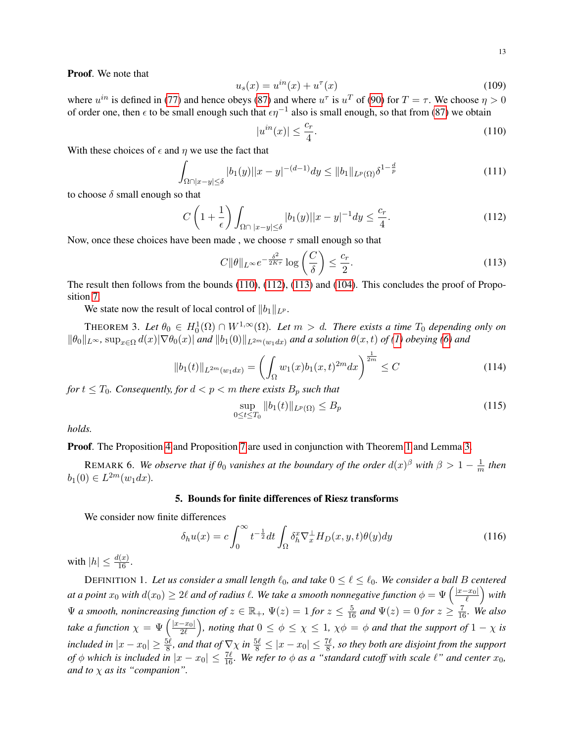Proof. We note that

$$
u_s(x) = u^{in}(x) + u^{\tau}(x)
$$
\n(109)

where  $u^{in}$  is defined in [\(77\)](#page-9-3) and hence obeys [\(87\)](#page-10-2) and where  $u^{\tau}$  is  $u^T$  of [\(90\)](#page-10-7) for  $T = \tau$ . We choose  $\eta > 0$ of order one, then  $\epsilon$  to be small enough such that  $\epsilon \eta^{-1}$  also is small enough, so that from [\(87\)](#page-10-2) we obtain

<span id="page-12-2"></span>
$$
|u^{in}(x)| \le \frac{c_r}{4}.\tag{110}
$$

With these choices of  $\epsilon$  and  $\eta$  we use the fact that

$$
\int_{\Omega \cap |x-y| \le \delta} |b_1(y)| |x-y|^{-(d-1)} dy \le ||b_1||_{L^p(\Omega)} \delta^{1-\frac{d}{p}} \tag{111}
$$

to choose  $\delta$  small enough so that

<span id="page-12-3"></span>
$$
C\left(1+\frac{1}{\epsilon}\right)\int_{\Omega\cap|x-y|\leq\delta}|b_1(y)||x-y|^{-1}dy\leq\frac{c_r}{4}.\tag{112}
$$

Now, once these choices have been made, we choose  $\tau$  small enough so that

<span id="page-12-4"></span>
$$
C\|\theta\|_{L^{\infty}}e^{-\frac{\delta^{2}}{2K\tau}}\log\left(\frac{C}{\delta}\right) \leq \frac{c_{r}}{2}.
$$
\n(113)

The result then follows from the bounds [\(110\)](#page-12-2), [\(112\)](#page-12-3), [\(113\)](#page-12-4) and [\(104\)](#page-11-0). This concludes the proof of Proposition [7.](#page-11-1)

We state now the result of local control of  $||b_1||_{L^p}$ .

<span id="page-12-0"></span>THEOREM 3. Let  $\theta_0 \in H_0^1(\Omega) \cap W^{1,\infty}(\Omega)$ . Let  $m > d$ . There exists a time  $T_0$  depending only on  $\|\theta_0\|_{L^{\infty}}$ ,  $\sup_{x\in\Omega}d(x)|\nabla\theta_0(x)|$  *and*  $\|b_1(0)\|_{L^{2m}(w_1dx)}$  *and a solution*  $\theta(x,t)$  *of [\(1\)](#page-0-0) obeying [\(6\)](#page-1-0) and* 

$$
||b_1(t)||_{L^{2m}(w_1dx)} = \left(\int_{\Omega} w_1(x)b_1(x,t)^{2m}dx\right)^{\frac{1}{2m}} \le C\tag{114}
$$

*for*  $t \leq T_0$ *. Consequently, for*  $d < p < m$  *there exists*  $B_p$  *such that* 

$$
\sup_{0 \le t \le T_0} \|b_1(t)\|_{L^p(\Omega)} \le B_p \tag{115}
$$

*holds.*

**Proof.** The Proposition [4](#page-7-8) and Proposition [7](#page-11-1) are used in conjunction with Theorem [1](#page-0-3) and Lemma [3.](#page-8-4)

REMARK 6. We observe that if  $\theta_0$  vanishes at the boundary of the order  $d(x)^\beta$  with  $\beta > 1 - \frac{1}{n}$  $\frac{1}{m}$  then  $b_1(0) \in L^{2m}(w_1 dx)$ .

#### 5. Bounds for finite differences of Riesz transforms

<span id="page-12-1"></span>We consider now finite differences

$$
\delta_h u(x) = c \int_0^\infty t^{-\frac{1}{2}} dt \int_\Omega \delta_h^x \nabla_x^\perp H_D(x, y, t) \theta(y) dy \tag{116}
$$

with  $|h| \leq \frac{d(x)}{16}$ .

DEFINITION 1. Let us consider a small length  $\ell_0$ , and take  $0 \leq \ell \leq \ell_0$ . We consider a ball B centered at a point  $x_0$  with  $d(x_0) \geq 2\ell$  and of radius  $\ell$ . We take a smooth nonnegative function  $\phi = \Psi\left(\frac{|x-x_0|}{\ell}\right)$  $\frac{-x_0|}{\ell}\Big)$  with  $\Psi$  *a smooth, nonincreasing function of*  $z \in \mathbb{R}_+$ ,  $\Psi(z) = 1$  *for*  $z \leq \frac{5}{16}$  *and*  $\Psi(z) = 0$  *for*  $z \geq \frac{7}{16}$ *. We also take a function*  $\chi = \Psi\left(\frac{|x-x_0|}{2\ell}\right)$  $\left(\frac{-x_0|}{2\ell}\right)$ , noting that  $0\leq\phi\leq\chi\leq1$ ,  $\chi\phi=\phi$  and that the support of  $1-\chi$  is *included in*  $|x-x_0|\geq \frac{5\ell}{8}$ , and that of  $\nabla \chi$  in  $\frac{5\ell}{8}\leq |x-x_0|\leq \frac{7\ell}{8}$ , so they both are disjoint from the support *of*  $\phi$  *which is included in*  $|x - x_0| \le \frac{7\ell}{16}$ *. We refer to*  $\phi$  *as a "standard cutoff with scale*  $\ell$ " *and center*  $x_0$ *, and to* χ *as its "companion".*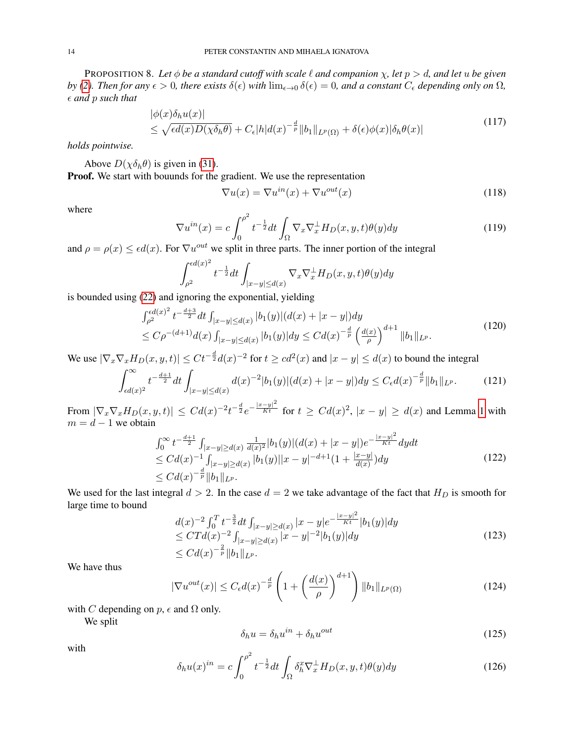<span id="page-13-0"></span>PROPOSITION 8. Let  $\phi$  *be a standard cutoff with scale*  $\ell$  *and companion*  $\chi$ , *let*  $p > d$ , *and let*  $u$  *be given by* [\(2\)](#page-0-2)*. Then for any*  $\epsilon > 0$ *, there exists*  $\delta(\epsilon)$  *with*  $\lim_{\epsilon \to 0} \delta(\epsilon) = 0$ *, and a constant*  $C_{\epsilon}$  *depending only on*  $\Omega$ *, and* p *such that*

<span id="page-13-2"></span>
$$
|\phi(x)\delta_h u(x)|
$$
  
\n
$$
\leq \sqrt{\epsilon d(x)D(\chi\delta_h\theta)} + C_{\epsilon}|h|d(x)^{-\frac{d}{p}}||b_1||_{L^p(\Omega)} + \delta(\epsilon)\phi(x)|\delta_h\theta(x)|
$$
\n(117)

*holds pointwise.*

Above  $D(\chi \delta_h \theta)$  is given in [\(31\)](#page-5-6).

Proof. We start with bouunds for the gradient. We use the representation

$$
\nabla u(x) = \nabla u^{in}(x) + \nabla u^{out}(x)
$$
\n(118)

where

$$
\nabla u^{in}(x) = c \int_0^{\rho^2} t^{-\frac{1}{2}} dt \int_{\Omega} \nabla_x \nabla_x^{\perp} H_D(x, y, t) \theta(y) dy
$$
\n(119)

and  $\rho = \rho(x) \le \epsilon d(x)$ . For  $\nabla u^{out}$  we split in three parts. The inner portion of the integral

$$
\int_{\rho^2}^{\epsilon d(x)^2} t^{-\frac{1}{2}} dt \int_{|x-y| \le d(x)} \nabla_x \nabla_x^{\perp} H_D(x, y, t) \theta(y) dy
$$

is bounded using [\(22\)](#page-4-4) and ignoring the exponential, yielding

$$
\int_{\rho^2}^{\epsilon d(x)^2} t^{-\frac{d+3}{2}} dt \int_{|x-y| \le d(x)} |b_1(y)| (d(x) + |x-y|) dy
$$
  
\n
$$
\le C\rho^{-(d+1)} d(x) \int_{|x-y| \le d(x)} |b_1(y)| dy \le C d(x)^{-\frac{d}{p}} \left(\frac{d(x)}{\rho}\right)^{d+1} \|b_1\|_{L^p}.
$$
\n(120)

We use  $|\nabla_x \nabla_x H_D(x, y, t)| \leq Ct^{-\frac{d}{2}} d(x)^{-2}$  for  $t \geq cd^2(x)$  and  $|x - y| \leq d(x)$  to bound the integral

$$
\int_{\epsilon d(x)^2}^{\infty} t^{-\frac{d+1}{2}} dt \int_{|x-y| \le d(x)} d(x)^{-2} |b_1(y)| (d(x) + |x-y|) dy \le C_{\epsilon} d(x)^{-\frac{d}{p}} \|b_1\|_{L^p}.
$$
 (121)

From  $|\nabla_x \nabla_x H_D(x, y, t)| \leq C d(x)^{-2} t^{-\frac{d}{2}} e^{-\frac{|x-y|^2}{Kt}}$  for  $t \geq C d(x)^2$ ,  $|x-y| \geq d(x)$  and Lemma [1](#page-4-3) with  $m = d - 1$  we obtain

$$
\int_0^\infty t^{-\frac{d+1}{2}} \int_{|x-y| \ge d(x)} \frac{1}{d(x)^2} |b_1(y)| (d(x) + |x-y|) e^{-\frac{|x-y|^2}{Kt}} dy dt
$$
\n
$$
\le C d(x)^{-1} \int_{|x-y| \ge d(x)} |b_1(y)| |x-y|^{-d+1} (1 + \frac{|x-y|}{d(x)}) dy
$$
\n
$$
\le C d(x)^{-\frac{d}{p}} \|b_1\|_{L^p}.
$$
\n(122)

We used for the last integral  $d > 2$ . In the case  $d = 2$  we take advantage of the fact that  $H_D$  is smooth for large time to bound  $\alpha$ 

$$
d(x)^{-2} \int_0^T t^{-\frac{3}{2}} dt \int_{|x-y| \ge d(x)} |x-y| e^{-\frac{|x-y|^2}{Kt}} |b_1(y)| dy
$$
  
\n
$$
\le C T d(x)^{-2} \int_{|x-y| \ge d(x)} |x-y|^{-2} |b_1(y)| dy
$$
  
\n
$$
\le C d(x)^{-\frac{2}{p}} \|b_1\|_{L^p}.
$$
\n(123)

We have thus

<span id="page-13-1"></span>
$$
|\nabla u^{out}(x)| \le C_{\epsilon} d(x)^{-\frac{d}{p}} \left(1 + \left(\frac{d(x)}{\rho}\right)^{d+1}\right) ||b_1||_{L^p(\Omega)}
$$
(124)

with C depending on  $p$ ,  $\epsilon$  and  $\Omega$  only.

We split

$$
\delta_h u = \delta_h u^{in} + \delta_h u^{out} \tag{125}
$$

with

$$
\delta_h u(x)^{in} = c \int_0^{\rho^2} t^{-\frac{1}{2}} dt \int_{\Omega} \delta_h^x \nabla_x^{\perp} H_D(x, y, t) \theta(y) dy \tag{126}
$$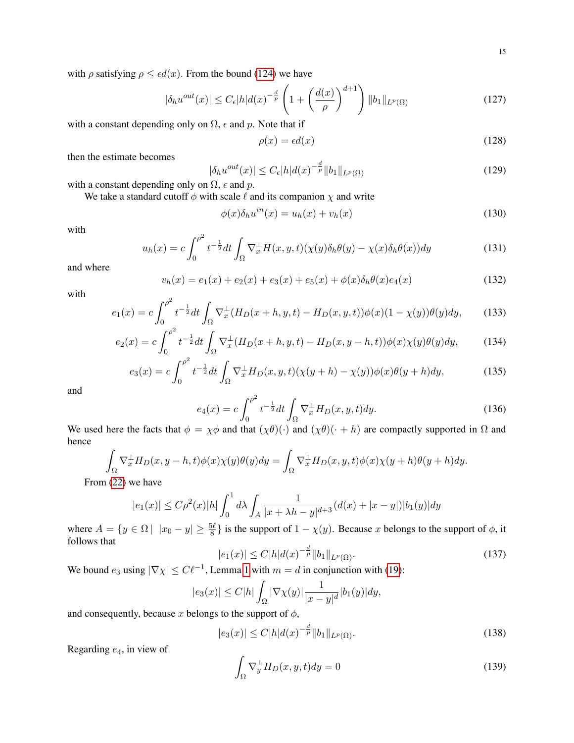with  $\rho$  satisfying  $\rho \le \epsilon d(x)$ . From the bound [\(124\)](#page-13-1) we have

$$
|\delta_h u^{out}(x)| \le C_{\epsilon} |h| d(x)^{-\frac{d}{p}} \left( 1 + \left( \frac{d(x)}{\rho} \right)^{d+1} \right) \|b_1\|_{L^p(\Omega)} \tag{127}
$$

with a constant depending only on  $\Omega$ ,  $\epsilon$  and p. Note that if

$$
\rho(x) = \epsilon d(x) \tag{128}
$$

then the estimate becomes

$$
|\delta_h u^{out}(x)| \le C_\epsilon |h| d(x)^{-\frac{d}{p}} \|b_1\|_{L^p(\Omega)}
$$
\n(129)

with a constant depending only on  $\Omega$ ,  $\epsilon$  and  $p$ .

We take a standard cutoff  $\phi$  with scale  $\ell$  and its companion  $\chi$  and write

$$
\phi(x)\delta_h u^{in}(x) = u_h(x) + v_h(x) \tag{130}
$$

with

$$
u_h(x) = c \int_0^{\rho^2} t^{-\frac{1}{2}} dt \int_{\Omega} \nabla_x^{\perp} H(x, y, t) (\chi(y) \delta_h \theta(y) - \chi(x) \delta_h \theta(x)) dy \tag{131}
$$

and where

$$
v_h(x) = e_1(x) + e_2(x) + e_3(x) + e_5(x) + \phi(x)\delta_h\theta(x)e_4(x)
$$
\n(132)

with

$$
e_1(x) = c \int_0^{\rho^2} t^{-\frac{1}{2}} dt \int_{\Omega} \nabla_x^{\perp} (H_D(x+h, y, t) - H_D(x, y, t)) \phi(x) (1 - \chi(y)) \theta(y) dy, \tag{133}
$$

$$
e_2(x) = c \int_0^{\rho^2} t^{-\frac{1}{2}} dt \int_{\Omega} \nabla_x^{\perp} (H_D(x+h, y, t) - H_D(x, y-h, t)) \phi(x) \chi(y) \theta(y) dy, \tag{134}
$$

$$
e_3(x) = c \int_0^{\rho^2} t^{-\frac{1}{2}} dt \int_{\Omega} \nabla_x^{\perp} H_D(x, y, t) (\chi(y + h) - \chi(y)) \phi(x) \theta(y + h) dy,
$$
 (135)

and

$$
e_4(x) = c \int_0^{\rho^2} t^{-\frac{1}{2}} dt \int_{\Omega} \nabla_x^{\perp} H_D(x, y, t) dy.
$$
 (136)

We used here the facts that  $\phi = \chi \phi$  and that  $(\chi \theta)(\cdot)$  and  $(\chi \theta)(\cdot + h)$  are compactly supported in  $\Omega$  and hence

 $\overline{a}$ 

$$
\int_{\Omega} \nabla_x^{\perp} H_D(x, y - h, t) \phi(x) \chi(y) \theta(y) dy = \int_{\Omega} \nabla_x^{\perp} H_D(x, y, t) \phi(x) \chi(y + h) \theta(y + h) dy.
$$
\n
$$
\text{and } \int_{\Omega} \nabla_x^{\perp} H_D(x, y, t) \phi(x) \chi(y + h) \theta(y + h) dy.
$$

From [\(22\)](#page-4-4) we have

$$
|e_1(x)| \le C\rho^2(x)|h| \int_0^1 d\lambda \int_A \frac{1}{|x+\lambda h - y|^{d+3}} (d(x) + |x - y|) |b_1(y)| dy
$$

where  $A = \{y \in \Omega \mid |x_0 - y| \ge \frac{5\ell}{8}\}\$ is the support of  $1 - \chi(y)$ . Because x belongs to the support of  $\phi$ , it follows that

$$
|e_1(x)| \le C|h|d(x)^{-\frac{d}{p}}||b_1||_{L^p(\Omega)}.\tag{137}
$$

We bound  $e_3$  using  $|\nabla \chi| \leq C \ell^{-1}$ , Lemma [1](#page-4-3) with  $m = d$  in conjunction with [\(19\)](#page-3-0):

$$
|e_3(x)| \le C|h| \int_{\Omega} |\nabla \chi(y)| \frac{1}{|x-y|^d} |b_1(y)| dy,
$$

and consequently, because x belongs to the support of  $\phi$ ,

$$
|e_3(x)| \le C|h|d(x)^{-\frac{d}{p}}||b_1||_{L^p(\Omega)}.
$$
\n(138)

Regarding  $e_4$ , in view of

$$
\int_{\Omega} \nabla_y^{\perp} H_D(x, y, t) dy = 0
$$
\n(139)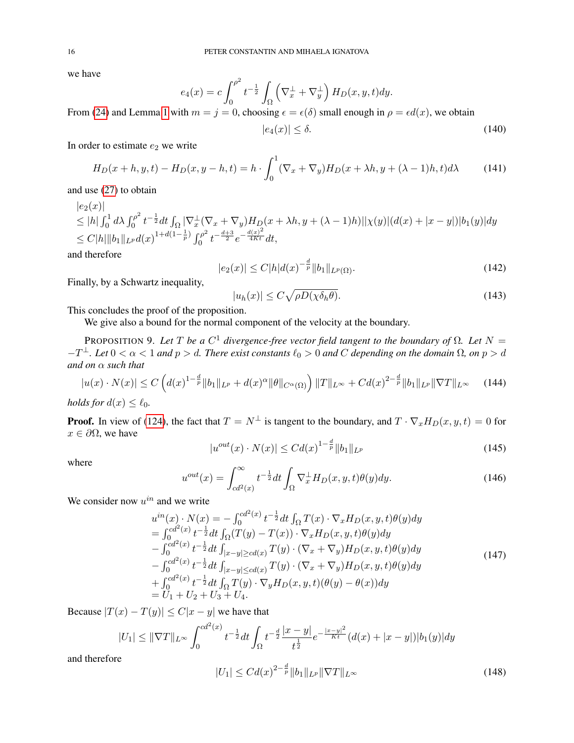we have

$$
e_4(x) = c \int_0^{\rho^2} t^{-\frac{1}{2}} \int_{\Omega} \left( \nabla_x^{\perp} + \nabla_y^{\perp} \right) H_D(x, y, t) dy.
$$

From [\(24\)](#page-4-5) and Lemma [1](#page-4-3) with  $m = j = 0$ , choosing  $\epsilon = \epsilon(\delta)$  small enough in  $\rho = \epsilon d(x)$ , we obtain

$$
|e_4(x)| \le \delta. \tag{140}
$$

In order to estimate  $e_2$  we write

<span id="page-15-1"></span>
$$
H_D(x+h, y, t) - H_D(x, y-h, t) = h \cdot \int_0^1 (\nabla_x + \nabla_y) H_D(x+\lambda h, y+(\lambda-1)h, t) d\lambda \tag{141}
$$

and use [\(27\)](#page-4-6) to obtain

 $|e_2(x)|$  $\leq |h| \int_0^1 d\lambda \int_0^{\rho^2}$  $\sum_{i=0}^{n/2}t^{-\frac{1}{2}}dt\int_{\Omega}|\nabla_{x}^{\perp}(\nabla_{x}+\nabla_{y})H_{D}(x+\lambda h,y+(\lambda-1)h)||\chi(y)|(d(x)+|x-y|)|b_{1}(y)|dy.$  $\leq C |h| \|b_1\|_{L^p} d(x)^{1+d(1-\frac{1}{p})} \int_0^{\rho^2}$  $\int_0^{\rho^2} t^{-\frac{d+3}{2}} e^{-\frac{d(x)^2}{4Kt}} dt,$ 

and therefore

<span id="page-15-2"></span>
$$
|e_2(x)| \le C|h|d(x)^{-\frac{d}{p}}||b_1||_{L^p(\Omega)}.
$$
\n(142)

Finally, by a Schwartz inequality,

$$
|u_h(x)| \le C\sqrt{\rho D(\chi \delta_h \theta)}.
$$
\n(143)

This concludes the proof of the proposition.

We give also a bound for the normal component of the velocity at the boundary.

<span id="page-15-0"></span>PROPOSITION 9. Let T be a  $C^1$  divergence-free vector field tangent to the boundary of  $\Omega$ . Let  $N =$  $-T^{\perp}$ *. Let* 0 < α < 1 *and*  $p > d$ *. There exist constants*  $\ell_0 > 0$  *and* C *depending on the domain* Ω*, on*  $p > d$ *and on* α *such that*

<span id="page-15-3"></span>
$$
|u(x) \cdot N(x)| \le C \left( d(x)^{1 - \frac{d}{p}} \|b_1\|_{L^p} + d(x)^{\alpha} \|\theta\|_{C^{\alpha}(\Omega)} \right) \|T\|_{L^{\infty}} + C d(x)^{2 - \frac{d}{p}} \|b_1\|_{L^p} \|\nabla T\|_{L^{\infty}} \tag{144}
$$

*holds for*  $d(x) \leq \ell_0$ *.* 

**Proof.** In view of [\(124\)](#page-13-1), the fact that  $T = N^{\perp}$  is tangent to the boundary, and  $T \cdot \nabla_x H_D(x, y, t) = 0$  for  $x \in \partial\Omega$ , we have

$$
|u^{out}(x) \cdot N(x)| \leq C d(x)^{1 - \frac{d}{p}} \|b_1\|_{L^p}
$$
\n(145)

where

$$
u^{out}(x) = \int_{cd^2(x)}^{\infty} t^{-\frac{1}{2}} dt \int_{\Omega} \nabla_x^{\perp} H_D(x, y, t) \theta(y) dy.
$$
 (146)

We consider now  $u^{in}$  and we write

$$
u^{in}(x) \cdot N(x) = -\int_0^{cd^2(x)} t^{-\frac{1}{2}} dt \int_{\Omega} T(x) \cdot \nabla_x H_D(x, y, t) \theta(y) dy = \int_0^{cd^2(x)} t^{-\frac{1}{2}} dt \int_{\Omega} (T(y) - T(x)) \cdot \nabla_x H_D(x, y, t) \theta(y) dy - \int_0^{cd^2(x)} t^{-\frac{1}{2}} dt \int_{|x-y| \ge cd(x)} T(y) \cdot (\nabla_x + \nabla_y) H_D(x, y, t) \theta(y) dy - \int_0^{cd^2(x)} t^{-\frac{1}{2}} dt \int_{|x-y| \le cd(x)} T(y) \cdot (\nabla_x + \nabla_y) H_D(x, y, t) \theta(y) dy + \int_0^{cd^2(x)} t^{-\frac{1}{2}} dt \int_{\Omega} T(y) \cdot \nabla_y H_D(x, y, t) (\theta(y) - \theta(x)) dy = U_1 + U_2 + U_3 + U_4.
$$
 (147)

Because  $|T(x) - T(y)| \le C|x - y|$  we have that

$$
|U_1| \leq \|\nabla T\|_{L^\infty} \int_0^{cd^2(x)} t^{-\frac{1}{2}} dt \int_{\Omega} t^{-\frac{d}{2}} \frac{|x-y|}{t^{\frac{1}{2}}} e^{-\frac{|x-y|^2}{Kt}} (d(x) + |x-y|) |b_1(y)| dy
$$
  
ce

and therefor

$$
|U_1| \leq C d(x)^{2 - \frac{d}{p}} \|b_1\|_{L^p} \|\nabla T\|_{L^\infty}
$$
\n(148)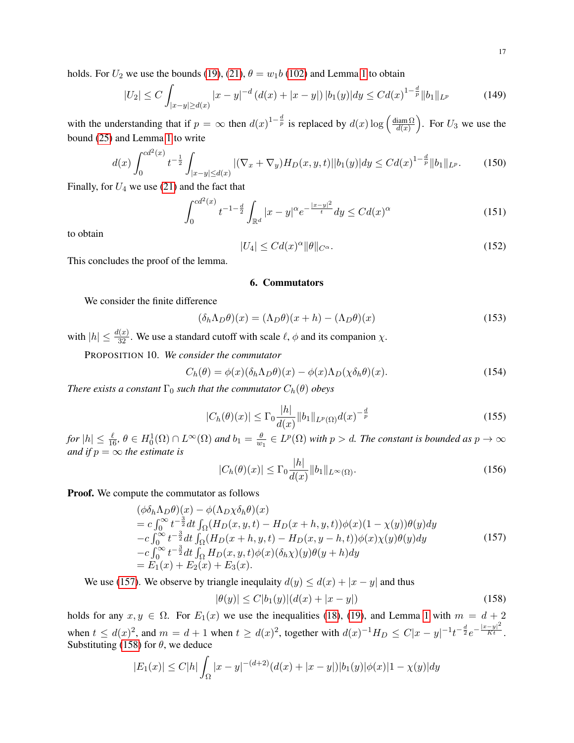holds. For  $U_2$  we use the bounds [\(19\)](#page-3-0), [\(21\)](#page-4-2),  $\theta = w_1b$  [\(102\)](#page-11-2) and Lemma [1](#page-4-3) to obtain

$$
|U_2| \le C \int_{|x-y| \ge d(x)} |x-y|^{-d} \left( d(x) + |x-y| \right) |b_1(y)| dy \le C d(x)^{1-\frac{d}{p}} \|b_1\|_{L^p}
$$
(149)

with the understanding that if  $p = \infty$  then  $d(x)^{1-\frac{d}{p}}$  is replaced by  $d(x) \log\left(\frac{\text{diam }\Omega}{d(x)}\right)$  $\frac{\text{diam }\Omega}{d(x)}$ . For  $U_3$  we use the bound [\(25\)](#page-4-1) and Lemma [1](#page-4-3) to write

$$
d(x)\int_0^{cd^2(x)} t^{-\frac{1}{2}} \int_{|x-y| \le d(x)} |(\nabla_x + \nabla_y) H_D(x, y, t)| |b_1(y)| dy \le C d(x)^{1 - \frac{d}{p}} \|b_1\|_{L^p}.
$$
 (150)

Finally, for  $U_4$  we use [\(21\)](#page-4-2) and the fact that

$$
\int_0^{cd^2(x)} t^{-1-\frac{d}{2}} \int_{\mathbb{R}^d} |x - y|^\alpha e^{-\frac{|x - y|^2}{t}} dy \le C d(x)^\alpha \tag{151}
$$

to obtain

$$
|U_4| \le C d(x)^\alpha \|\theta\|_{C^\alpha}.\tag{152}
$$

<span id="page-16-1"></span>This concludes the proof of the lemma.

#### 6. Commutators

We consider the finite difference

$$
(\delta_h \Lambda_D \theta)(x) = (\Lambda_D \theta)(x+h) - (\Lambda_D \theta)(x)
$$
\n(153)

<span id="page-16-0"></span>with  $|h| \leq \frac{d(x)}{32}$ . We use a standard cutoff with scale  $\ell$ ,  $\phi$  and its companion  $\chi$ .

PROPOSITION 10. *We consider the commutator*

<span id="page-16-4"></span>
$$
C_h(\theta) = \phi(x)(\delta_h \Lambda_D \theta)(x) - \phi(x)\Lambda_D(\chi \delta_h \theta)(x).
$$
 (154)

*There exists a constant*  $\Gamma_0$  *such that the commutator*  $C_h(\theta)$  *obeys* 

<span id="page-16-5"></span>
$$
|C_h(\theta)(x)| \le \Gamma_0 \frac{|h|}{d(x)} \|b_1\|_{L^p(\Omega)} d(x)^{-\frac{d}{p}} \tag{155}
$$

 $f$ or  $|h| \leq \frac{\ell}{16}$ ,  $\theta \in H_0^1(\Omega) \cap L^\infty(\Omega)$  and  $b_1 = \frac{\theta}{w}$  $\frac{\theta}{w_1} \in L^p(\Omega)$  with  $p > d$ . The constant is bounded as  $p \to \infty$ *and if*  $p = \infty$  *the estimate is* 

$$
|C_h(\theta)(x)| \le \Gamma_0 \frac{|h|}{d(x)} \|b_1\|_{L^\infty(\Omega)}.
$$
\n(156)

**Proof.** We compute the commutator as follows

<span id="page-16-2"></span>
$$
\begin{aligned}\n(\phi \delta_h \Lambda_D \theta)(x) &= \phi(\Lambda_D \chi \delta_h \theta)(x) \\
&= c \int_0^\infty t^{-\frac{3}{2}} dt \int_{\Omega} (H_D(x, y, t) - H_D(x + h, y, t)) \phi(x) (1 - \chi(y)) \theta(y) dy \\
&- c \int_0^\infty t^{-\frac{3}{2}} dt \int_{\Omega} (H_D(x + h, y, t) - H_D(x, y - h, t)) \phi(x) \chi(y) \theta(y) dy \\
&- c \int_0^\infty t^{-\frac{3}{2}} dt \int_{\Omega} H_D(x, y, t) \phi(x) (\delta_h \chi)(y) \theta(y + h) dy \\
&= E_1(x) + E_2(x) + E_3(x).\n\end{aligned}
$$
\n(157)

We use [\(157\)](#page-16-2). We observe by triangle inequlaity  $d(y) \leq d(x) + |x - y|$  and thus

<span id="page-16-3"></span>
$$
|\theta(y)| \le C|b_1(y)|(d(x) + |x - y|)
$$
\n(158)

holds for any  $x, y \in \Omega$ . For  $E_1(x)$  we use the inequalities [\(18\)](#page-3-1), [\(19\)](#page-3-0), and Lemma [1](#page-4-3) with  $m = d + 2$ when  $t \leq d(x)^2$ , and  $m = d + 1$  when  $t \geq d(x)^2$ , together with  $d(x)^{-1}H_D \leq C|x - y|^{-1}t^{-\frac{d}{2}}e^{-\frac{|x - y|^2}{Kt}}$ . Substituting [\(158\)](#page-16-3) for  $\theta$ , we deduce

$$
|E_1(x)| \le C|h| \int_{\Omega} |x - y|^{-(d+2)} (d(x) + |x - y|) |b_1(y)| \phi(x) |1 - \chi(y)| dy
$$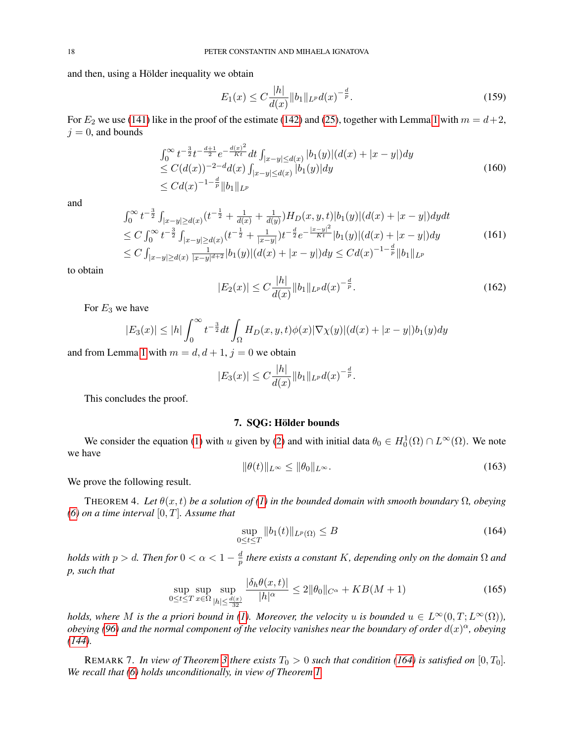and then, using a Hölder inequality we obtain

$$
E_1(x) \le C \frac{|h|}{d(x)} \|b_1\|_{L^p} d(x)^{-\frac{d}{p}}.
$$
\n(159)

For  $E_2$  we use [\(141\)](#page-15-1) like in the proof of the estimate [\(142\)](#page-15-2) and [\(25\)](#page-4-1), together with Lemma [1](#page-4-3) with  $m = d+2$ ,  $j = 0$ , and bounds

$$
\int_0^\infty t^{-\frac{3}{2}} t^{-\frac{d+1}{2}} e^{-\frac{d(x)^2}{Kt}} dt \int_{|x-y| \le d(x)} |b_1(y)| (d(x) + |x-y|) dy
$$
  
\n
$$
\le C(d(x))^{-2-d} d(x) \int_{|x-y| \le d(x)} |b_1(y)| dy
$$
  
\n
$$
\le C d(x)^{-1-\frac{d}{p}} \|b_1\|_{L^p}
$$
\n(160)

and

$$
\int_0^\infty t^{-\frac{3}{2}} \int_{|x-y| \ge d(x)} (t^{-\frac{1}{2}} + \frac{1}{d(x)} + \frac{1}{d(y)}) H_D(x, y, t) |b_1(y)| (d(x) + |x-y|) dy dt
$$
  
\n
$$
\le C \int_0^\infty t^{-\frac{3}{2}} \int_{|x-y| \ge d(x)} (t^{-\frac{1}{2}} + \frac{1}{|x-y|}) t^{-\frac{d}{2}} e^{-\frac{|x-y|^2}{Kt}} |b_1(y)| (d(x) + |x-y|) dy
$$
  
\n
$$
\le C \int_{|x-y| \ge d(x)} \frac{1}{|x-y|^{d+2}} |b_1(y)| (d(x) + |x-y|) dy \le C d(x)^{-1-\frac{d}{p}} ||b_1||_{L^p}
$$
\n(161)

to obtain

$$
|E_2(x)| \le C \frac{|h|}{d(x)} \|b_1\|_{L^p} d(x)^{-\frac{d}{p}}.
$$
\n(162)

For  $E_3$  we have

$$
|E_3(x)| \le |h| \int_0^\infty t^{-\frac{3}{2}} dt \int_{\Omega} H_D(x, y, t) \phi(x) |\nabla \chi(y)| (d(x) + |x - y|) b_1(y) dy
$$

and from Lemma [1](#page-4-3) with  $m = d, d + 1, j = 0$  we obtain

$$
|E_3(x)| \leq C \frac{|h|}{d(x)} \|b_1\|_{L^p} d(x)^{-\frac{d}{p}}.
$$

This concludes the proof.

### 7. SQG: Hölder bounds

<span id="page-17-1"></span>We consider the equation [\(1\)](#page-0-0) with u given by [\(2\)](#page-0-2) and with initial data  $\theta_0 \in H_0^1(\Omega) \cap L^\infty(\Omega)$ . We note we have

$$
\|\theta(t)\|_{L^{\infty}} \le \|\theta_0\|_{L^{\infty}}.\tag{163}
$$

We prove the following result.

<span id="page-17-0"></span>THEOREM 4. Let  $\theta(x, t)$  be a solution of [\(1\)](#page-0-0) in the bounded domain with smooth boundary  $\Omega$ , obeying *[\(6\)](#page-1-0) on a time interval* [0, T]*. Assume that*

<span id="page-17-2"></span>
$$
\sup_{0 \le t \le T} \|b_1(t)\|_{L^p(\Omega)} \le B \tag{164}
$$

*holds with p*  $> d$ *. Then for*  $0 < \alpha < 1 - \frac{d}{n}$ p *there exists a constant* K*, depending only on the domain* Ω *and p, such that*

<span id="page-17-3"></span>
$$
\sup_{0 \le t \le T} \sup_{x \in \Omega} \sup_{|h| \le \frac{d(x)}{32}} \frac{|\delta_h \theta(x, t)|}{|h|^\alpha} \le 2 \|\theta_0\|_{C^\alpha} + KB(M + 1) \tag{165}
$$

*holds, where* M *is the a priori bound in [\(1\)](#page-0-3). Moreover, the velocity* u *is bounded*  $u \in L^{\infty}(0,T;L^{\infty}(\Omega))$ *, obeying [\(96\)](#page-10-6) and the normal component of the velocity vanishes near the boundary of order*  $d(x)^\alpha$ *, obeying [\(144\)](#page-15-3).*

REMARK 7. In view of Theorem [3](#page-12-0) there exists  $T_0 > 0$  such that condition [\(164\)](#page-17-2) is satisfied on  $[0, T_0]$ . *We recall that [\(6\)](#page-1-0) holds unconditionally, in view of Theorem [1.](#page-0-3)*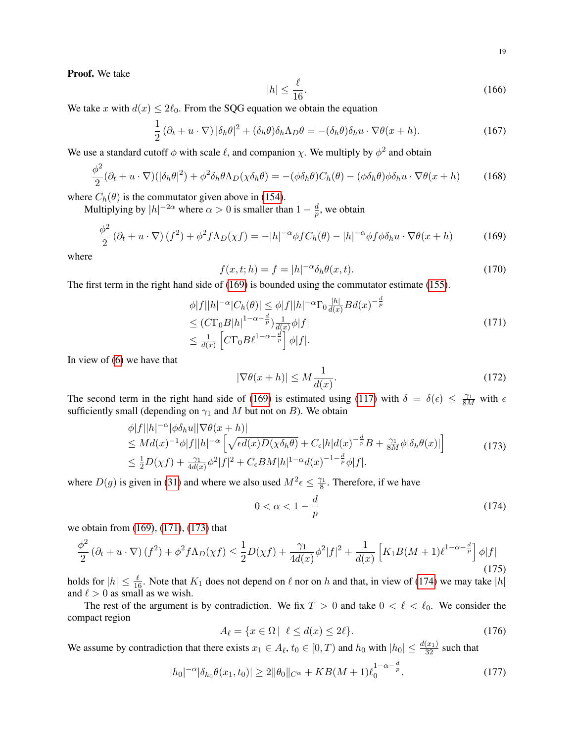Proof. We take

$$
|h| \le \frac{\ell}{16}.\tag{166}
$$

We take x with  $d(x) \le 2\ell_0$ . From the SQG equation we obtain the equation

$$
\frac{1}{2} \left( \partial_t + u \cdot \nabla \right) |\delta_h \theta|^2 + (\delta_h \theta) \delta_h \Lambda_D \theta = -(\delta_h \theta) \delta_h u \cdot \nabla \theta (x + h). \tag{167}
$$

We use a standard cutoff  $\phi$  with scale  $\ell$ , and companion  $\chi$ . We multiply by  $\phi^2$  and obtain

$$
\frac{\phi^2}{2}(\partial_t + u \cdot \nabla)(|\delta_h \theta|^2) + \phi^2 \delta_h \theta \Lambda_D(\chi \delta_h \theta) = -(\phi \delta_h \theta) C_h(\theta) - (\phi \delta_h \theta) \phi \delta_h u \cdot \nabla \theta(x+h) \tag{168}
$$

where  $C_h(\theta)$  is the commutator given above in [\(154\)](#page-16-4).

Multiplying by  $|h|^{-2\alpha}$  where  $\alpha > 0$  is smaller than  $1 - \frac{d}{n}$  $\frac{a}{p}$ , we obtain

<span id="page-18-0"></span>
$$
\frac{\phi^2}{2} \left(\partial_t + u \cdot \nabla\right) (f^2) + \phi^2 f \Lambda_D(\chi f) = -|h|^{-\alpha} \phi f C_h(\theta) - |h|^{-\alpha} \phi f \phi \delta_h u \cdot \nabla \theta (x+h) \tag{169}
$$

where

$$
f(x,t;h) = f = |h|^{-\alpha} \delta_h \theta(x,t).
$$
 (170)

The first term in the right hand side of [\(169\)](#page-18-0) is bounded using the commutator estimate [\(155\)](#page-16-5).

<span id="page-18-1"></span>
$$
\begin{aligned}\n\phi|f||h|^{-\alpha}|C_h(\theta)| &\leq \phi|f||h|^{-\alpha}\Gamma_0 \frac{|h|}{d(x)} B d(x)^{-\frac{d}{p}} \\
&\leq (C\Gamma_0 B|h|^{1-\alpha-\frac{d}{p}}) \frac{1}{d(x)} \phi|f| \\
&\leq \frac{1}{d(x)} \left[ C\Gamma_0 B \ell^{1-\alpha-\frac{d}{p}} \right] \phi|f|. \n\end{aligned} \tag{171}
$$

In view of [\(6\)](#page-1-0) we have that

$$
|\nabla \theta(x+h)| \le M \frac{1}{d(x)}.\tag{172}
$$

The second term in the right hand side of [\(169\)](#page-18-0) is estimated using [\(117\)](#page-13-2) with  $\delta = \delta(\epsilon) \le \frac{\gamma_1}{8M}$  with  $\epsilon$ sufficiently small (depending on  $\gamma_1$  and M but not on B). We obtain

<span id="page-18-2"></span>
$$
\begin{split}\n&\phi|f||h|^{-\alpha}|\phi\delta_h u||\nabla\theta(x+h)| \\
&\leq Md(x)^{-1}\phi|f||h|^{-\alpha}\left[\sqrt{\epsilon d(x)D(\chi\delta_h\theta)} + C_{\epsilon}|h|d(x)^{-\frac{d}{p}}B + \frac{\gamma_1}{8M}\phi|\delta_h\theta(x)|\right] \\
&\leq \frac{1}{2}D(\chi f) + \frac{\gamma_1}{4d(x)}\phi^2|f|^2 + C_{\epsilon}BM|h|^{1-\alpha}d(x)^{-1-\frac{d}{p}}\phi|f|. \n\end{split} \tag{173}
$$

where  $D(g)$  is given in [\(31\)](#page-5-6) and where we also used  $M^2 \epsilon \leq \frac{\gamma_1}{8}$  $\frac{\gamma_1}{8}$ . Therefore, if we have

<span id="page-18-3"></span>
$$
0 < \alpha < 1 - \frac{d}{p} \tag{174}
$$

we obtain from [\(169\)](#page-18-0), [\(171\)](#page-18-1), [\(173\)](#page-18-2) that

<span id="page-18-4"></span>
$$
\frac{\phi^2}{2} \left(\partial_t + u \cdot \nabla\right) (f^2) + \phi^2 f \Lambda_D(\chi f) \le \frac{1}{2} D(\chi f) + \frac{\gamma_1}{4d(x)} \phi^2 |f|^2 + \frac{1}{d(x)} \left[ K_1 B(M+1) \ell^{1-\alpha-\frac{d}{p}} \right] \phi |f| \tag{175}
$$

holds for  $|h| \le \frac{\ell}{16}$ . Note that  $K_1$  does not depend on  $\ell$  nor on h and that, in view of [\(174\)](#page-18-3) we may take  $|h|$ and  $\ell > 0$  as small as we wish.

The rest of the argument is by contradiction. We fix  $T > 0$  and take  $0 < \ell < \ell_0$ . We consider the compact region

$$
A_{\ell} = \{ x \in \Omega \mid \ell \le d(x) \le 2\ell \}. \tag{176}
$$

We assume by contradiction that there exists  $x_1 \in A_\ell$ ,  $t_0 \in [0, T)$  and  $h_0$  with  $|h_0| \leq \frac{d(x_1)}{32}$  such that

<span id="page-18-5"></span>
$$
|h_0|^{-\alpha}|\delta_{h_0}\theta(x_1,t_0)| \ge 2\|\theta_0\|_{C^{\alpha}} + KB(M+1)\ell_0^{1-\alpha - \frac{d}{p}}.
$$
 (177)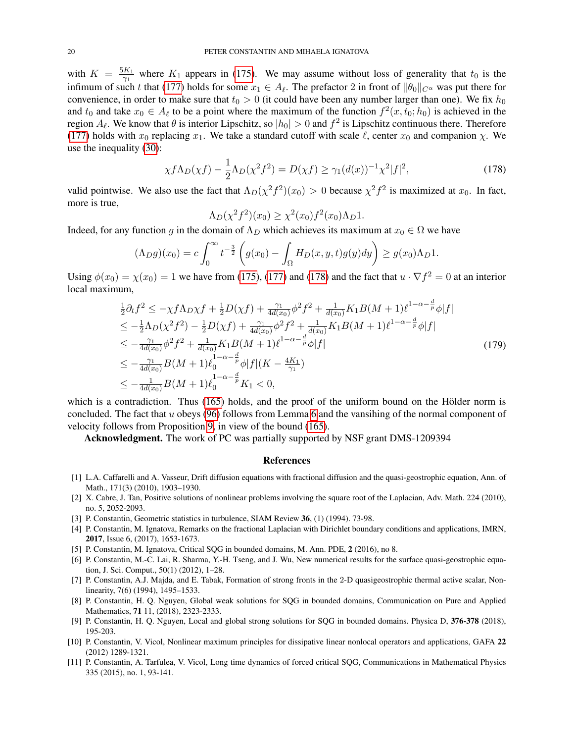with  $K = \frac{5K_1}{\gamma_1}$  $\frac{K_1}{\gamma_1}$  where  $K_1$  appears in [\(175\)](#page-18-4). We may assume without loss of generality that  $t_0$  is the infimum of such t that [\(177\)](#page-18-5) holds for some  $x_1 \in A_\ell$ . The prefactor 2 in front of  $\|\theta_0\|_{C^\alpha}$  was put there for convenience, in order to make sure that  $t_0 > 0$  (it could have been any number larger than one). We fix  $h_0$ and  $t_0$  and take  $x_0 \in A_\ell$  to be a point where the maximum of the function  $f^2(x, t_0; h_0)$  is achieved in the region  $A_\ell$ . We know that  $\theta$  is interior Lipschitz, so  $|h_0| > 0$  and  $f^2$  is Lipschitz continuous there. Therefore [\(177\)](#page-18-5) holds with  $x_0$  replacing  $x_1$ . We take a standard cutoff with scale  $\ell$ , center  $x_0$  and companion  $\chi$ . We use the inequality [\(30\)](#page-4-7):

<span id="page-19-11"></span>
$$
\chi f \Lambda_D(\chi f) - \frac{1}{2} \Lambda_D(\chi^2 f^2) = D(\chi f) \ge \gamma_1 (d(x))^{-1} \chi^2 |f|^2,\tag{178}
$$

valid pointwise. We also use the fact that  $\Lambda_D(\chi^2 f^2)(x_0) > 0$  because  $\chi^2 f^2$  is maximized at  $x_0$ . In fact, more is true,

$$
\Lambda_D(\chi^2 f^2)(x_0) \ge \chi^2(x_0) f^2(x_0) \Lambda_D 1.
$$

Indeed, for any function g in the domain of  $\Lambda_D$  which achieves its maximum at  $x_0 \in \Omega$  we have

$$
(\Lambda_D g)(x_0) = c \int_0^\infty t^{-\frac{3}{2}} \left( g(x_0) - \int_\Omega H_D(x, y, t) g(y) dy \right) \ge g(x_0) \Lambda_D 1.
$$

Using  $\phi(x_0) = \chi(x_0) = 1$  we have from [\(175\)](#page-18-4), [\(177\)](#page-18-5) and [\(178\)](#page-19-11) and the fact that  $u \cdot \nabla f^2 = 0$  at an interior local maximum,

$$
\frac{1}{2}\partial_t f^2 \leq -\chi f \Lambda_D \chi f + \frac{1}{2}D(\chi f) + \frac{\gamma_1}{4d(x_0)}\phi^2 f^2 + \frac{1}{d(x_0)}K_1B(M+1)\ell^{1-\alpha-\frac{d}{p}}\phi|f|
$$
\n
$$
\leq -\frac{1}{2}\Lambda_D(\chi^2 f^2) - \frac{1}{2}D(\chi f) + \frac{\gamma_1}{4d(x_0)}\phi^2 f^2 + \frac{1}{d(x_0)}K_1B(M+1)\ell^{1-\alpha-\frac{d}{p}}\phi|f|
$$
\n
$$
\leq -\frac{\gamma_1}{4d(x_0)}\phi^2 f^2 + \frac{1}{d(x_0)}K_1B(M+1)\ell^{1-\alpha-\frac{d}{p}}\phi|f|
$$
\n
$$
\leq -\frac{\gamma_1}{4d(x_0)}B(M+1)\ell_0^{1-\alpha-\frac{d}{p}}\phi|f|(K-\frac{4K_1}{\gamma_1})
$$
\n
$$
\leq -\frac{1}{4d(x_0)}B(M+1)\ell_0^{1-\alpha-\frac{d}{p}}K_1 < 0,
$$
\n(179)

which is a contradiction. Thus  $(165)$  holds, and the proof of the uniform bound on the Hölder norm is concluded. The fact that u obeys [\(96\)](#page-10-6) follows from Lemma [6](#page-10-0) and the vansihing of the normal component of velocity follows from Proposition [9,](#page-15-0) in view of the bound [\(165\)](#page-17-3).

Acknowledgment. The work of PC was partially supported by NSF grant DMS-1209394

#### References

- <span id="page-19-3"></span>[1] L.A. Caffarelli and A. Vasseur, Drift diffusion equations with fractional diffusion and the quasi-geostrophic equation, Ann. of Math., 171(3) (2010), 1903–1930.
- <span id="page-19-10"></span>[2] X. Cabre, J. Tan, Positive solutions of nonlinear problems involving the square root of the Laplacian, Adv. Math. 224 (2010), no. 5, 2052-2093.
- <span id="page-19-0"></span>[3] P. Constantin, Geometric statistics in turbulence, SIAM Review 36, (1) (1994). 73-98.
- <span id="page-19-7"></span>[4] P. Constantin, M. Ignatova, Remarks on the fractional Laplacian with Dirichlet boundary conditions and applications, IMRN, 2017, Issue 6, (2017), 1653-1673.
- <span id="page-19-5"></span>[5] P. Constantin, M. Ignatova, Critical SQG in bounded domains, M. Ann. PDE, 2 (2016), no 8.
- <span id="page-19-2"></span>[6] P. Constantin, M.-C. Lai, R. Sharma, Y.-H. Tseng, and J. Wu, New numerical results for the surface quasi-geostrophic equation, J. Sci. Comput., 50(1) (2012), 1–28.
- <span id="page-19-1"></span>[7] P. Constantin, A.J. Majda, and E. Tabak, Formation of strong fronts in the 2-D quasigeostrophic thermal active scalar, Nonlinearity, 7(6) (1994), 1495–1533.
- <span id="page-19-8"></span>[8] P. Constantin, H. Q. Nguyen, Global weak solutions for SQG in bounded domains, Communication on Pure and Applied Mathematics, **71** 11, (2018), 2323-2333.
- <span id="page-19-6"></span>[9] P. Constantin, H. Q. Nguyen, Local and global strong solutions for SQG in bounded domains. Physica D, 376-378 (2018), 195-203.
- <span id="page-19-9"></span>[10] P. Constantin, V. Vicol, Nonlinear maximum principles for dissipative linear nonlocal operators and applications, GAFA 22 (2012) 1289-1321.
- <span id="page-19-4"></span>[11] P. Constantin, A. Tarfulea, V. Vicol, Long time dynamics of forced critical SQG, Communications in Mathematical Physics 335 (2015), no. 1, 93-141.